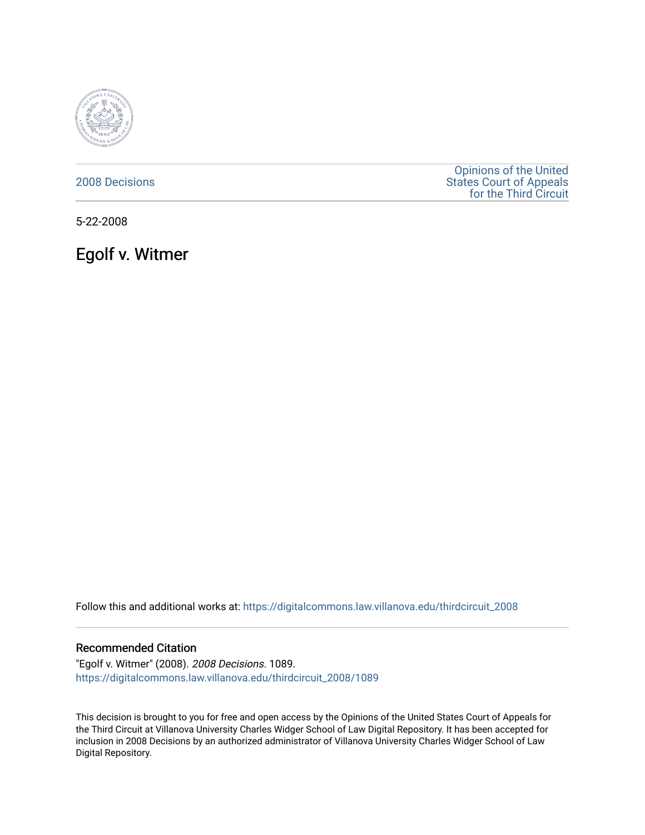

[2008 Decisions](https://digitalcommons.law.villanova.edu/thirdcircuit_2008)

[Opinions of the United](https://digitalcommons.law.villanova.edu/thirdcircuit)  [States Court of Appeals](https://digitalcommons.law.villanova.edu/thirdcircuit)  [for the Third Circuit](https://digitalcommons.law.villanova.edu/thirdcircuit) 

5-22-2008

Egolf v. Witmer

Follow this and additional works at: [https://digitalcommons.law.villanova.edu/thirdcircuit\\_2008](https://digitalcommons.law.villanova.edu/thirdcircuit_2008?utm_source=digitalcommons.law.villanova.edu%2Fthirdcircuit_2008%2F1089&utm_medium=PDF&utm_campaign=PDFCoverPages) 

#### Recommended Citation

"Egolf v. Witmer" (2008). 2008 Decisions. 1089. [https://digitalcommons.law.villanova.edu/thirdcircuit\\_2008/1089](https://digitalcommons.law.villanova.edu/thirdcircuit_2008/1089?utm_source=digitalcommons.law.villanova.edu%2Fthirdcircuit_2008%2F1089&utm_medium=PDF&utm_campaign=PDFCoverPages) 

This decision is brought to you for free and open access by the Opinions of the United States Court of Appeals for the Third Circuit at Villanova University Charles Widger School of Law Digital Repository. It has been accepted for inclusion in 2008 Decisions by an authorized administrator of Villanova University Charles Widger School of Law Digital Repository.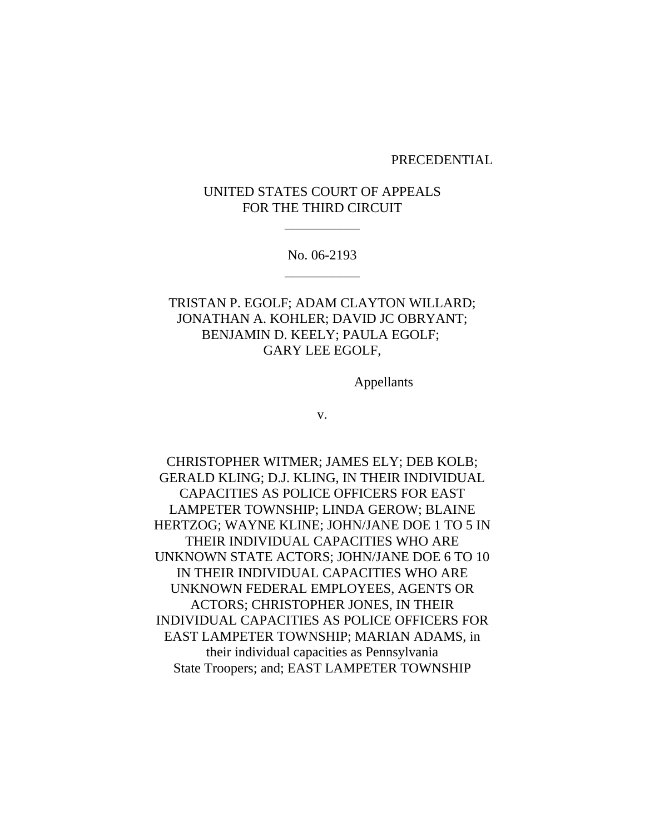#### PRECEDENTIAL

# UNITED STATES COURT OF APPEALS FOR THE THIRD CIRCUIT

\_\_\_\_\_\_\_\_\_\_\_

No. 06-2193 \_\_\_\_\_\_\_\_\_\_\_

# TRISTAN P. EGOLF; ADAM CLAYTON WILLARD; JONATHAN A. KOHLER; DAVID JC OBRYANT; BENJAMIN D. KEELY; PAULA EGOLF; GARY LEE EGOLF,

Appellants

v.

CHRISTOPHER WITMER; JAMES ELY; DEB KOLB; GERALD KLING; D.J. KLING, IN THEIR INDIVIDUAL CAPACITIES AS POLICE OFFICERS FOR EAST LAMPETER TOWNSHIP; LINDA GEROW; BLAINE HERTZOG; WAYNE KLINE; JOHN/JANE DOE 1 TO 5 IN THEIR INDIVIDUAL CAPACITIES WHO ARE UNKNOWN STATE ACTORS; JOHN/JANE DOE 6 TO 10 IN THEIR INDIVIDUAL CAPACITIES WHO ARE UNKNOWN FEDERAL EMPLOYEES, AGENTS OR ACTORS; CHRISTOPHER JONES, IN THEIR INDIVIDUAL CAPACITIES AS POLICE OFFICERS FOR EAST LAMPETER TOWNSHIP; MARIAN ADAMS, in their individual capacities as Pennsylvania State Troopers; and; EAST LAMPETER TOWNSHIP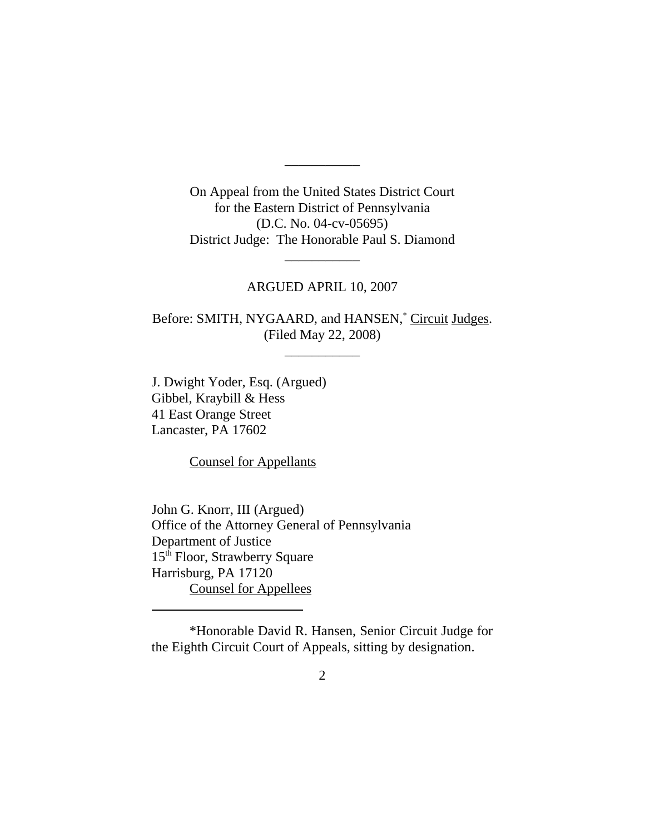On Appeal from the United States District Court for the Eastern District of Pennsylvania (D.C. No. 04-cv-05695) District Judge: The Honorable Paul S. Diamond

\_\_\_\_\_\_\_\_\_\_\_

## ARGUED APRIL 10, 2007

\_\_\_\_\_\_\_\_\_\_\_

Before: SMITH, NYGAARD, and HANSEN,<sup>\*</sup> Circuit Judges. (Filed May 22, 2008)

\_\_\_\_\_\_\_\_\_\_\_

J. Dwight Yoder, Esq. (Argued) Gibbel, Kraybill & Hess 41 East Orange Street Lancaster, PA 17602

Counsel for Appellants

John G. Knorr, III (Argued) Office of the Attorney General of Pennsylvania Department of Justice 15<sup>th</sup> Floor, Strawberry Square Harrisburg, PA 17120 Counsel for Appellees

\*Honorable David R. Hansen, Senior Circuit Judge for the Eighth Circuit Court of Appeals, sitting by designation.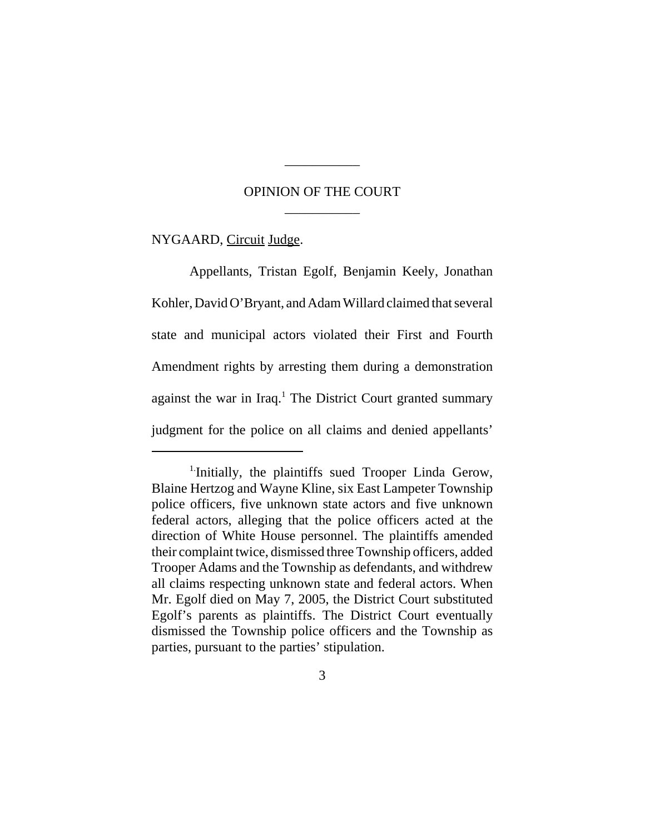## OPINION OF THE COURT \_\_\_\_\_\_\_\_\_\_\_

\_\_\_\_\_\_\_\_\_\_\_

NYGAARD, Circuit Judge.

Appellants, Tristan Egolf, Benjamin Keely, Jonathan Kohler, David O'Bryant, and Adam Willard claimed that several state and municipal actors violated their First and Fourth Amendment rights by arresting them during a demonstration against the war in Iraq.<sup>1</sup> The District Court granted summary judgment for the police on all claims and denied appellants'

<sup>&</sup>lt;sup>1</sup>-Initially, the plaintiffs sued Trooper Linda Gerow, Blaine Hertzog and Wayne Kline, six East Lampeter Township police officers, five unknown state actors and five unknown federal actors, alleging that the police officers acted at the direction of White House personnel. The plaintiffs amended their complaint twice, dismissed three Township officers, added Trooper Adams and the Township as defendants, and withdrew all claims respecting unknown state and federal actors. When Mr. Egolf died on May 7, 2005, the District Court substituted Egolf's parents as plaintiffs. The District Court eventually dismissed the Township police officers and the Township as parties, pursuant to the parties' stipulation.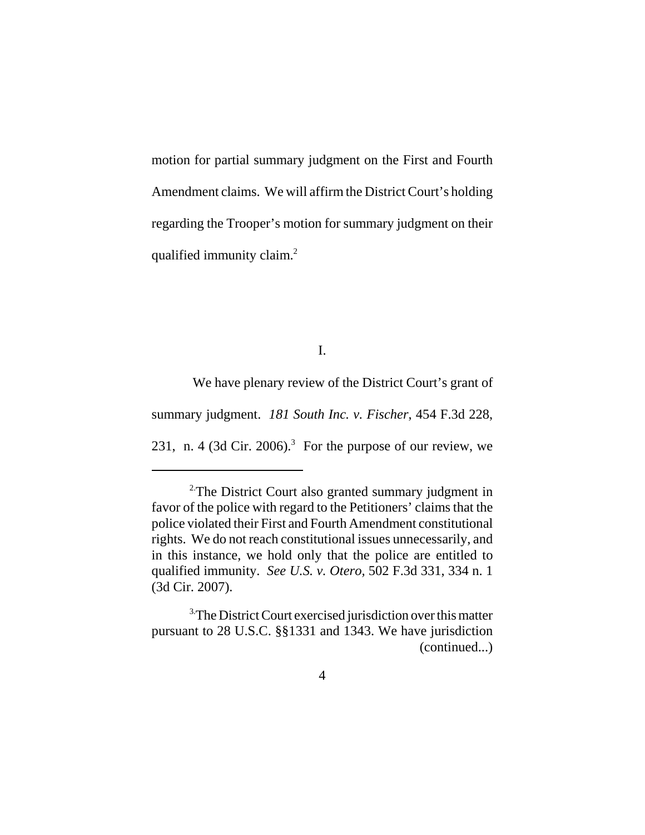motion for partial summary judgment on the First and Fourth Amendment claims. We will affirm the District Court's holding regarding the Trooper's motion for summary judgment on their qualified immunity claim.<sup>2</sup>

I.

 We have plenary review of the District Court's grant of summary judgment. *181 South Inc. v. Fischer*, 454 F.3d 228, 231, n. 4 (3d Cir. 2006).<sup>3</sup> For the purpose of our review, we

<sup>&</sup>lt;sup>2</sup>The District Court also granted summary judgment in favor of the police with regard to the Petitioners' claims that the police violated their First and Fourth Amendment constitutional rights. We do not reach constitutional issues unnecessarily, and in this instance, we hold only that the police are entitled to qualified immunity. *See U.S. v. Otero,* 502 F.3d 331, 334 n. 1 (3d Cir. 2007).

<sup>&</sup>lt;sup>3.</sup>The District Court exercised jurisdiction over this matter pursuant to 28 U.S.C. §§1331 and 1343. We have jurisdiction (continued...)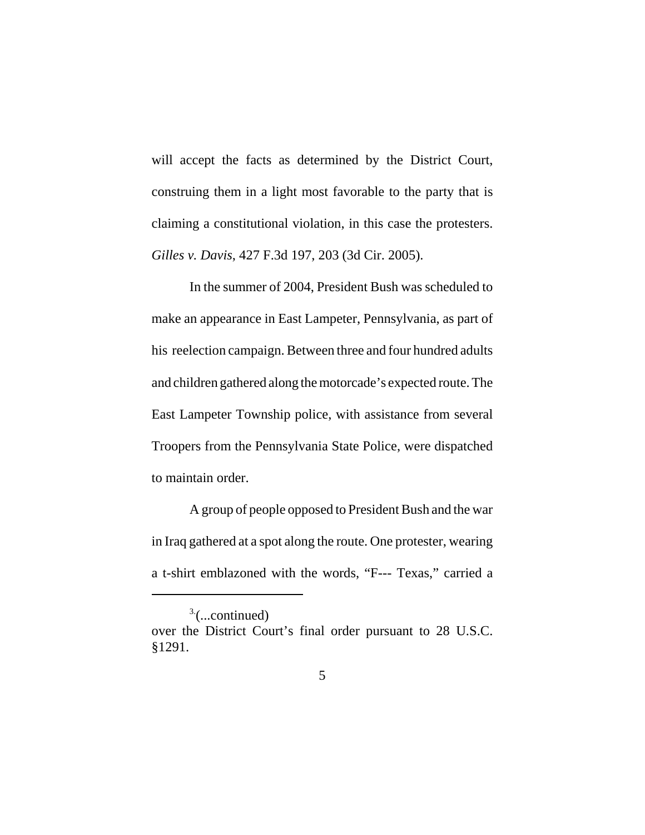will accept the facts as determined by the District Court, construing them in a light most favorable to the party that is claiming a constitutional violation, in this case the protesters. *Gilles v. Davis*, 427 F.3d 197, 203 (3d Cir. 2005).

In the summer of 2004, President Bush was scheduled to make an appearance in East Lampeter, Pennsylvania, as part of his reelection campaign. Between three and four hundred adults and children gathered along the motorcade's expected route. The East Lampeter Township police, with assistance from several Troopers from the Pennsylvania State Police, were dispatched to maintain order.

A group of people opposed to President Bush and the war in Iraq gathered at a spot along the route. One protester, wearing a t-shirt emblazoned with the words, "F--- Texas," carried a

 $3$ <sup>3</sup> $\ldots$ continued)

over the District Court's final order pursuant to 28 U.S.C. §1291.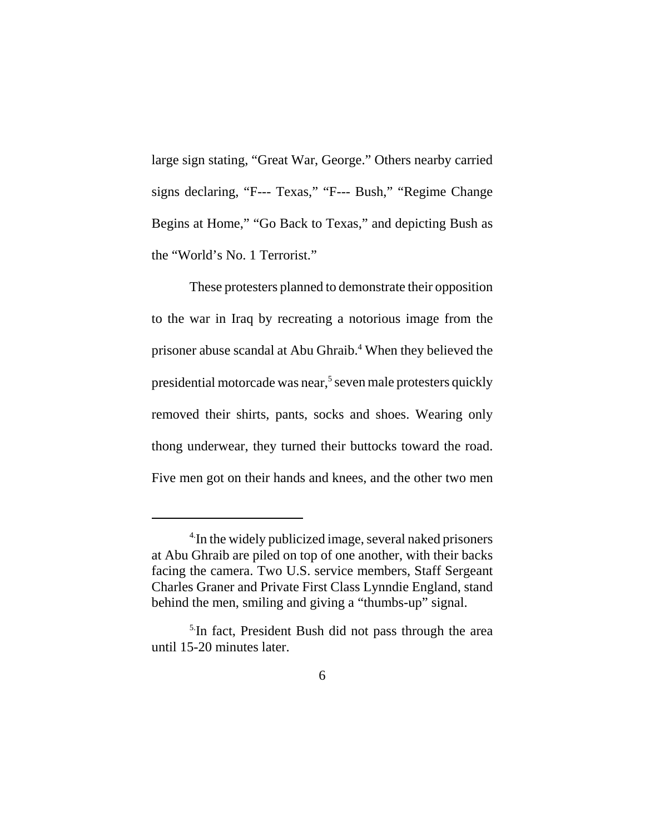large sign stating, "Great War, George." Others nearby carried signs declaring, "F--- Texas," "F--- Bush," "Regime Change Begins at Home," "Go Back to Texas," and depicting Bush as the "World's No. 1 Terrorist."

These protesters planned to demonstrate their opposition to the war in Iraq by recreating a notorious image from the prisoner abuse scandal at Abu Ghraib.<sup>4</sup> When they believed the presidential motorcade was near,<sup>5</sup> seven male protesters quickly removed their shirts, pants, socks and shoes. Wearing only thong underwear, they turned their buttocks toward the road. Five men got on their hands and knees, and the other two men

<sup>&</sup>lt;sup>4</sup>In the widely publicized image, several naked prisoners at Abu Ghraib are piled on top of one another, with their backs facing the camera. Two U.S. service members, Staff Sergeant Charles Graner and Private First Class Lynndie England, stand behind the men, smiling and giving a "thumbs-up" signal.

<sup>&</sup>lt;sup>5.</sup>In fact, President Bush did not pass through the area until 15-20 minutes later.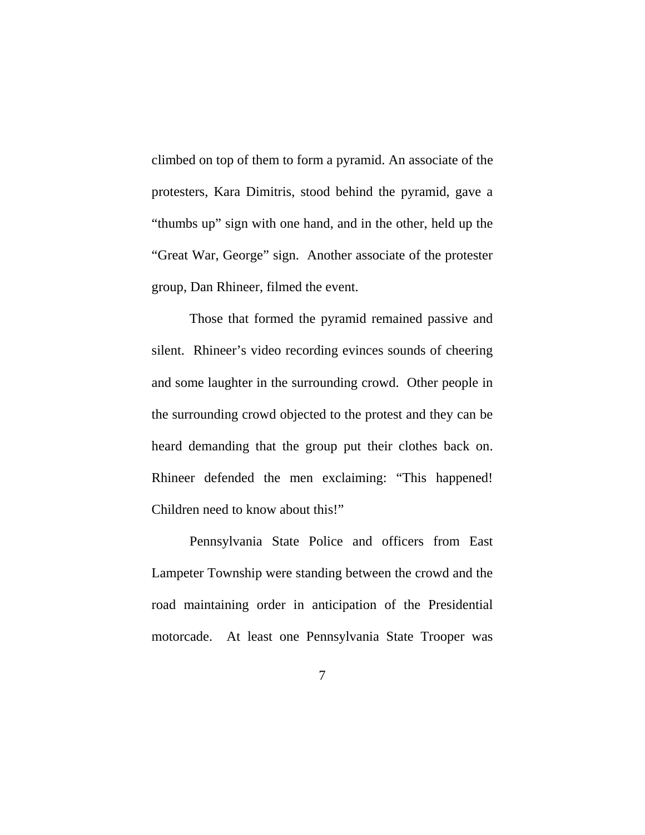climbed on top of them to form a pyramid. An associate of the protesters, Kara Dimitris, stood behind the pyramid, gave a "thumbs up" sign with one hand, and in the other, held up the "Great War, George" sign. Another associate of the protester group, Dan Rhineer, filmed the event.

Those that formed the pyramid remained passive and silent. Rhineer's video recording evinces sounds of cheering and some laughter in the surrounding crowd. Other people in the surrounding crowd objected to the protest and they can be heard demanding that the group put their clothes back on. Rhineer defended the men exclaiming: "This happened! Children need to know about this!"

Pennsylvania State Police and officers from East Lampeter Township were standing between the crowd and the road maintaining order in anticipation of the Presidential motorcade. At least one Pennsylvania State Trooper was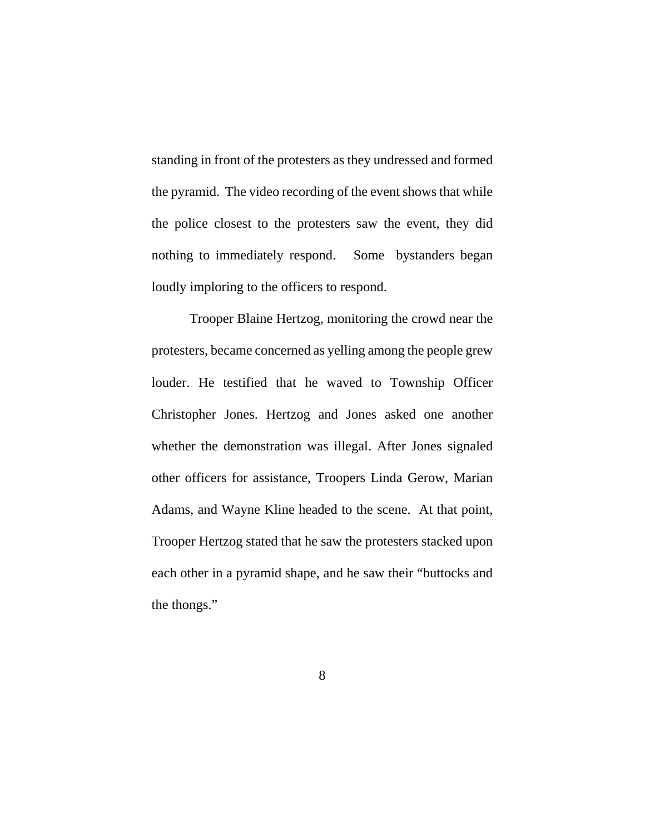standing in front of the protesters as they undressed and formed the pyramid. The video recording of the event shows that while the police closest to the protesters saw the event, they did nothing to immediately respond. Some bystanders began loudly imploring to the officers to respond.

Trooper Blaine Hertzog, monitoring the crowd near the protesters, became concerned as yelling among the people grew louder. He testified that he waved to Township Officer Christopher Jones. Hertzog and Jones asked one another whether the demonstration was illegal. After Jones signaled other officers for assistance, Troopers Linda Gerow, Marian Adams, and Wayne Kline headed to the scene. At that point, Trooper Hertzog stated that he saw the protesters stacked upon each other in a pyramid shape, and he saw their "buttocks and the thongs."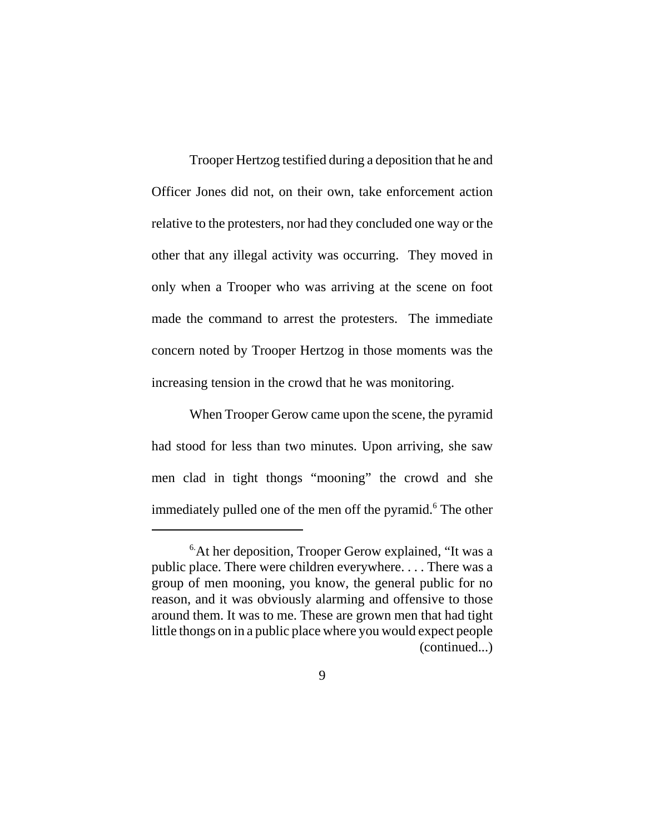Trooper Hertzog testified during a deposition that he and Officer Jones did not, on their own, take enforcement action relative to the protesters, nor had they concluded one way or the other that any illegal activity was occurring. They moved in only when a Trooper who was arriving at the scene on foot made the command to arrest the protesters. The immediate concern noted by Trooper Hertzog in those moments was the increasing tension in the crowd that he was monitoring.

When Trooper Gerow came upon the scene, the pyramid had stood for less than two minutes. Upon arriving, she saw men clad in tight thongs "mooning" the crowd and she immediately pulled one of the men off the pyramid.<sup>6</sup> The other

<sup>&</sup>lt;sup>6</sup>At her deposition, Trooper Gerow explained, "It was a public place. There were children everywhere. . . . There was a group of men mooning, you know, the general public for no reason, and it was obviously alarming and offensive to those around them. It was to me. These are grown men that had tight little thongs on in a public place where you would expect people (continued...)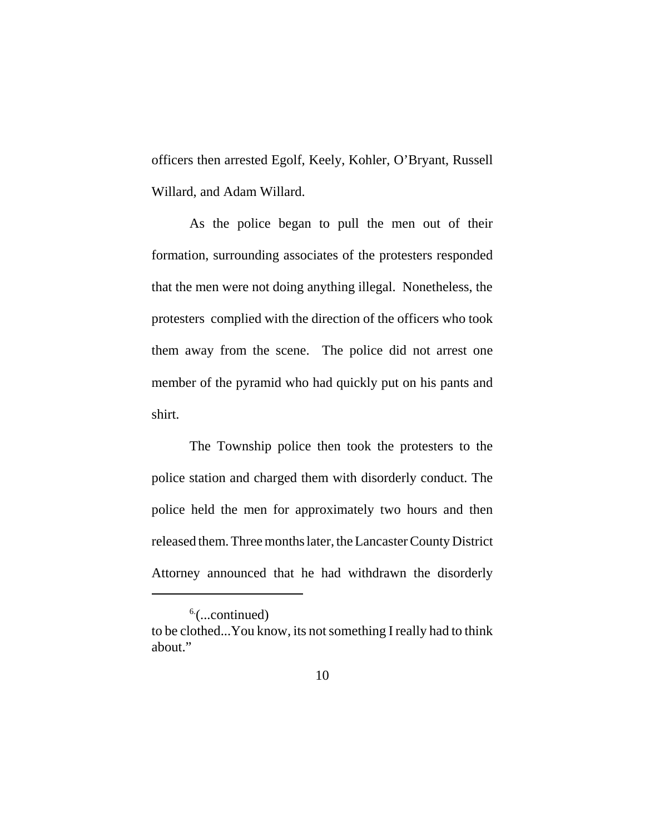officers then arrested Egolf, Keely, Kohler, O'Bryant, Russell Willard, and Adam Willard.

As the police began to pull the men out of their formation, surrounding associates of the protesters responded that the men were not doing anything illegal. Nonetheless, the protesters complied with the direction of the officers who took them away from the scene. The police did not arrest one member of the pyramid who had quickly put on his pants and shirt.

The Township police then took the protesters to the police station and charged them with disorderly conduct. The police held the men for approximately two hours and then released them. Three months later, the Lancaster County District Attorney announced that he had withdrawn the disorderly

 $6$ (...continued)

to be clothed...You know, its not something I really had to think about."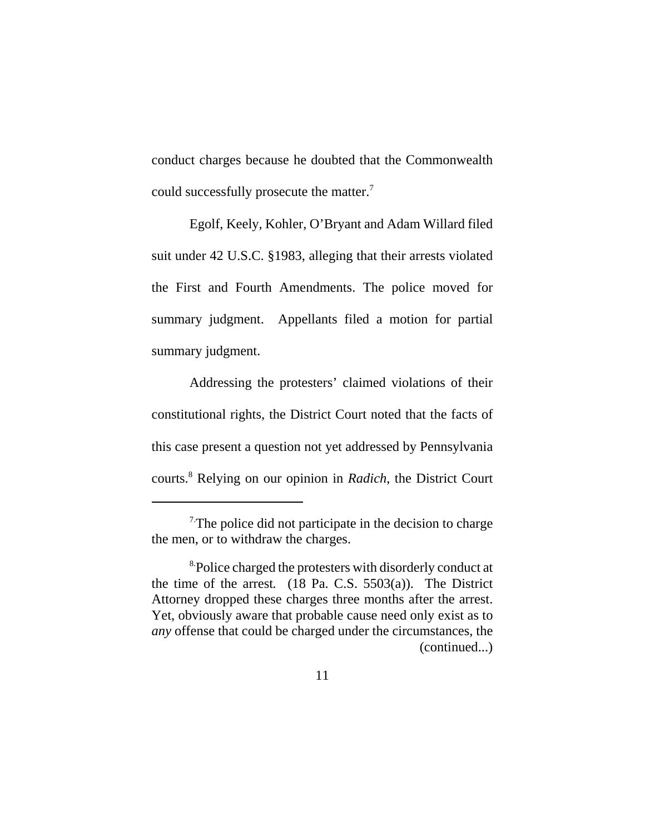conduct charges because he doubted that the Commonwealth could successfully prosecute the matter.7

Egolf, Keely, Kohler, O'Bryant and Adam Willard filed suit under 42 U.S.C. §1983, alleging that their arrests violated the First and Fourth Amendments. The police moved for summary judgment. Appellants filed a motion for partial summary judgment.

Addressing the protesters' claimed violations of their constitutional rights, the District Court noted that the facts of this case present a question not yet addressed by Pennsylvania courts.8 Relying on our opinion in *Radich*, the District Court

 $<sup>7</sup>$ The police did not participate in the decision to charge</sup> the men, or to withdraw the charges.

<sup>&</sup>lt;sup>8</sup>Police charged the protesters with disorderly conduct at the time of the arrest*.* (18 Pa. C.S. 5503(a)). The District Attorney dropped these charges three months after the arrest. Yet, obviously aware that probable cause need only exist as to *any* offense that could be charged under the circumstances, the (continued...)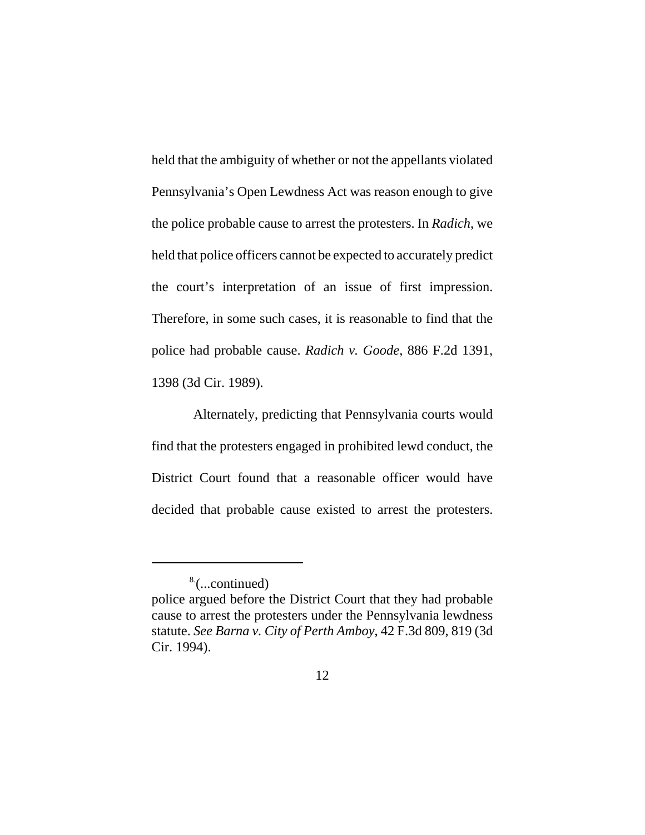held that the ambiguity of whether or not the appellants violated Pennsylvania's Open Lewdness Act was reason enough to give the police probable cause to arrest the protesters. In *Radich*, we held that police officers cannot be expected to accurately predict the court's interpretation of an issue of first impression. Therefore, in some such cases, it is reasonable to find that the police had probable cause. *Radich v. Goode*, 886 F.2d 1391, 1398 (3d Cir. 1989).

 Alternately, predicting that Pennsylvania courts would find that the protesters engaged in prohibited lewd conduct, the District Court found that a reasonable officer would have decided that probable cause existed to arrest the protesters.

<sup>8.(...</sup>continued)

police argued before the District Court that they had probable cause to arrest the protesters under the Pennsylvania lewdness statute. *See Barna v. City of Perth Amboy*, 42 F.3d 809, 819 (3d Cir. 1994).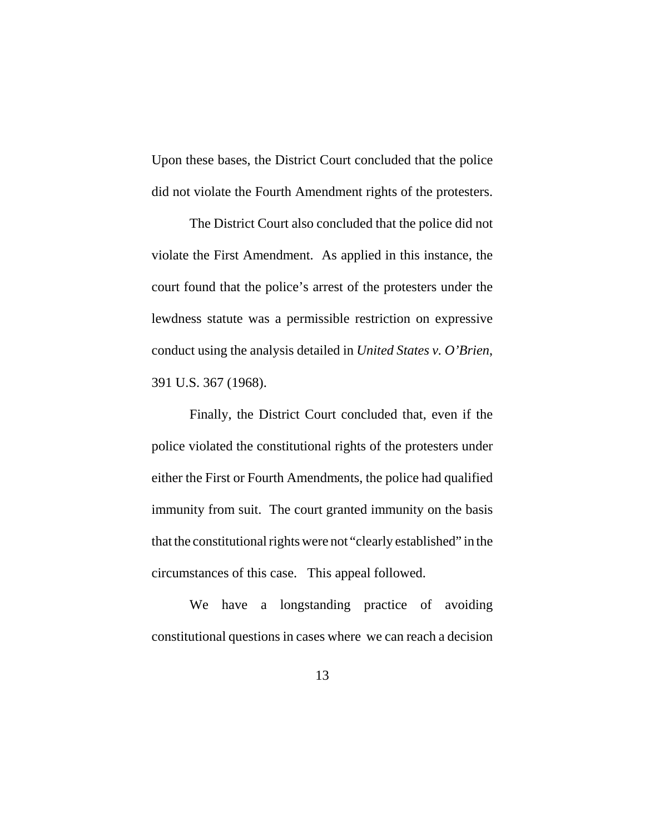Upon these bases, the District Court concluded that the police did not violate the Fourth Amendment rights of the protesters.

The District Court also concluded that the police did not violate the First Amendment. As applied in this instance, the court found that the police's arrest of the protesters under the lewdness statute was a permissible restriction on expressive conduct using the analysis detailed in *United States v. O'Brien*, 391 U.S. 367 (1968).

Finally, the District Court concluded that, even if the police violated the constitutional rights of the protesters under either the First or Fourth Amendments, the police had qualified immunity from suit. The court granted immunity on the basis that the constitutional rights were not "clearly established" in the circumstances of this case. This appeal followed.

We have a longstanding practice of avoiding constitutional questions in cases where we can reach a decision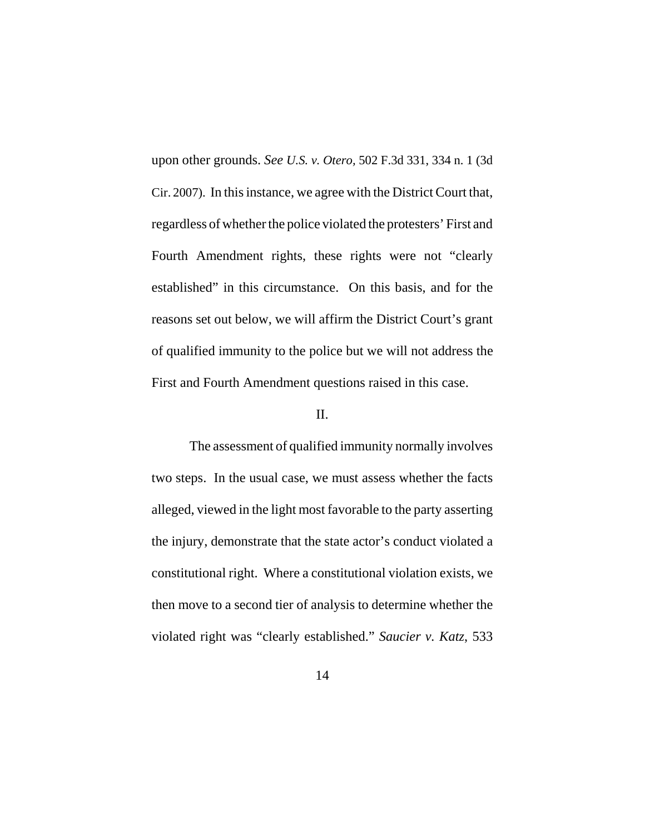upon other grounds. *See U.S. v. Otero,* 502 F.3d 331, 334 n. 1 (3d Cir. 2007). In this instance, we agree with the District Court that, regardless of whether the police violated the protesters' First and Fourth Amendment rights, these rights were not "clearly established" in this circumstance. On this basis, and for the reasons set out below, we will affirm the District Court's grant of qualified immunity to the police but we will not address the First and Fourth Amendment questions raised in this case.

### II.

The assessment of qualified immunity normally involves two steps. In the usual case, we must assess whether the facts alleged, viewed in the light most favorable to the party asserting the injury, demonstrate that the state actor's conduct violated a constitutional right. Where a constitutional violation exists, we then move to a second tier of analysis to determine whether the violated right was "clearly established." *Saucier v. Katz*, 533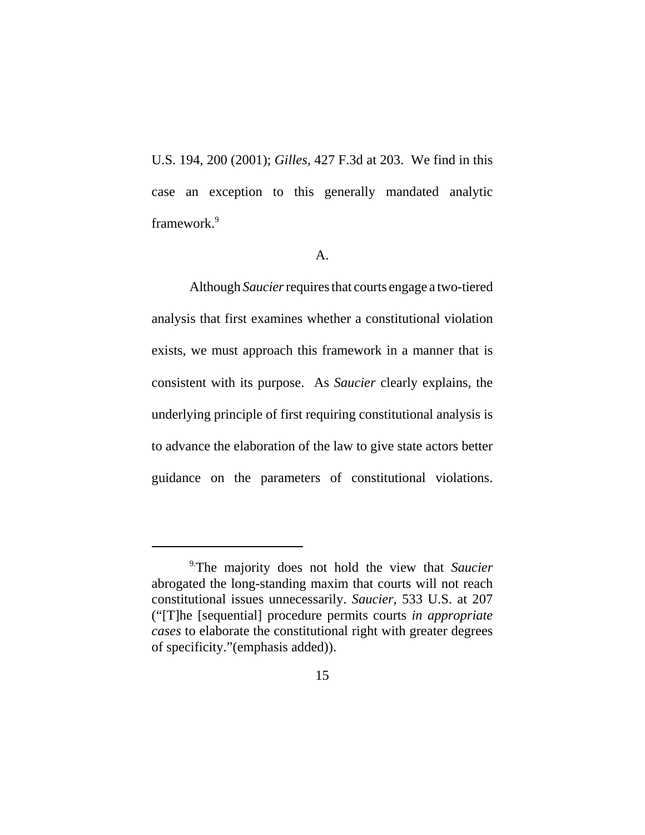U.S. 194, 200 (2001); *Gilles,* 427 F.3d at 203. We find in this case an exception to this generally mandated analytic framework.9

#### A.

Although *Saucier* requires that courts engage a two-tiered analysis that first examines whether a constitutional violation exists, we must approach this framework in a manner that is consistent with its purpose. As *Saucier* clearly explains, the underlying principle of first requiring constitutional analysis is to advance the elaboration of the law to give state actors better guidance on the parameters of constitutional violations.

<sup>9.</sup>The majority does not hold the view that *Saucier* abrogated the long-standing maxim that courts will not reach constitutional issues unnecessarily. *Saucier*, 533 U.S. at 207 ("[T]he [sequential] procedure permits courts *in appropriate cases* to elaborate the constitutional right with greater degrees of specificity."(emphasis added)).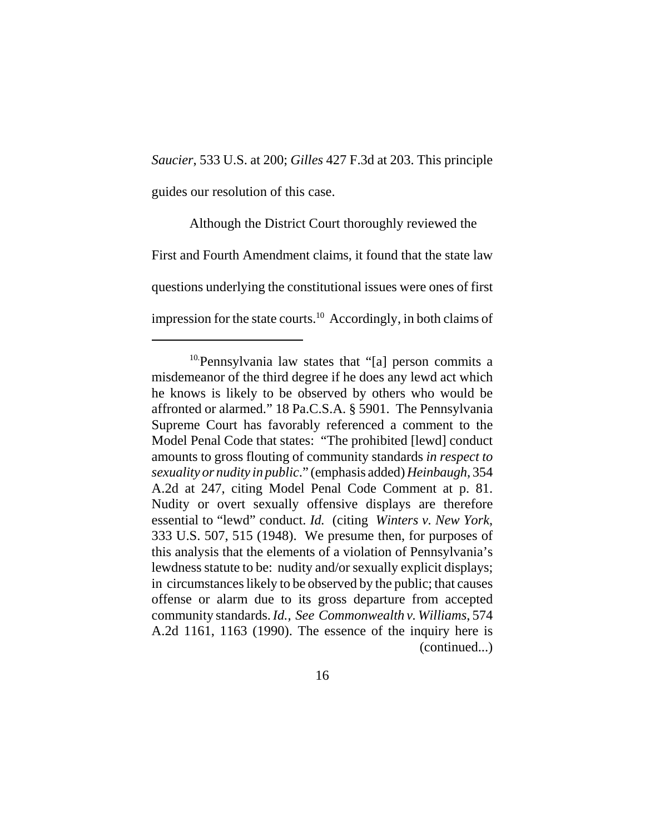# *Saucier*, 533 U.S. at 200; *Gilles* 427 F.3d at 203. This principle guides our resolution of this case.

 Although the District Court thoroughly reviewed the First and Fourth Amendment claims, it found that the state law questions underlying the constitutional issues were ones of first impression for the state courts.<sup>10</sup> Accordingly, in both claims of

<sup>10.</sup>Pennsylvania law states that "[a] person commits a misdemeanor of the third degree if he does any lewd act which he knows is likely to be observed by others who would be affronted or alarmed." 18 Pa.C.S.A. § 5901. The Pennsylvania Supreme Court has favorably referenced a comment to the Model Penal Code that states: "The prohibited [lewd] conduct amounts to gross flouting of community standards *in respect to sexuality or nudity in public*." (emphasis added) *Heinbaugh*, 354 A.2d at 247, citing Model Penal Code Comment at p. 81. Nudity or overt sexually offensive displays are therefore essential to "lewd" conduct. *Id.* (citing *Winters v. New York*, 333 U.S. 507, 515 (1948). We presume then, for purposes of this analysis that the elements of a violation of Pennsylvania's lewdness statute to be: nudity and/or sexually explicit displays; in circumstances likely to be observed by the public; that causes offense or alarm due to its gross departure from accepted community standards. *Id., See Commonwealth v. Williams*, 574 A.2d 1161, 1163 (1990). The essence of the inquiry here is (continued...)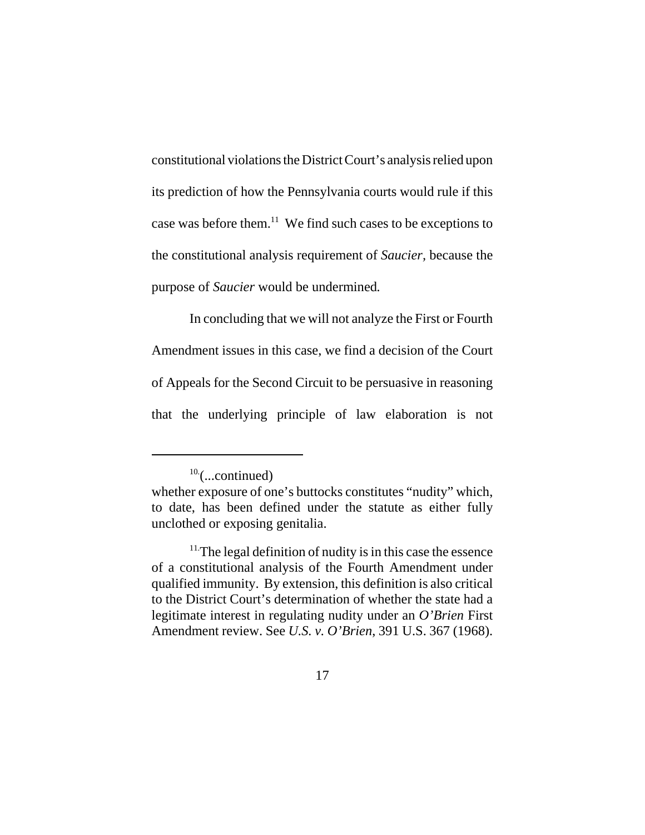constitutional violations the District Court's analysis relied upon its prediction of how the Pennsylvania courts would rule if this case was before them.11 We find such cases to be exceptions to the constitutional analysis requirement of *Saucier,* because the purpose of *Saucier* would be undermined*.*

In concluding that we will not analyze the First or Fourth Amendment issues in this case, we find a decision of the Court of Appeals for the Second Circuit to be persuasive in reasoning that the underlying principle of law elaboration is not

 $10$ <sup>-</sup>(...continued)

whether exposure of one's buttocks constitutes "nudity" which, to date, has been defined under the statute as either fully unclothed or exposing genitalia.

 $11$ . The legal definition of nudity is in this case the essence of a constitutional analysis of the Fourth Amendment under qualified immunity. By extension, this definition is also critical to the District Court's determination of whether the state had a legitimate interest in regulating nudity under an *O'Brien* First Amendment review. See *U.S. v. O'Brien*, 391 U.S. 367 (1968).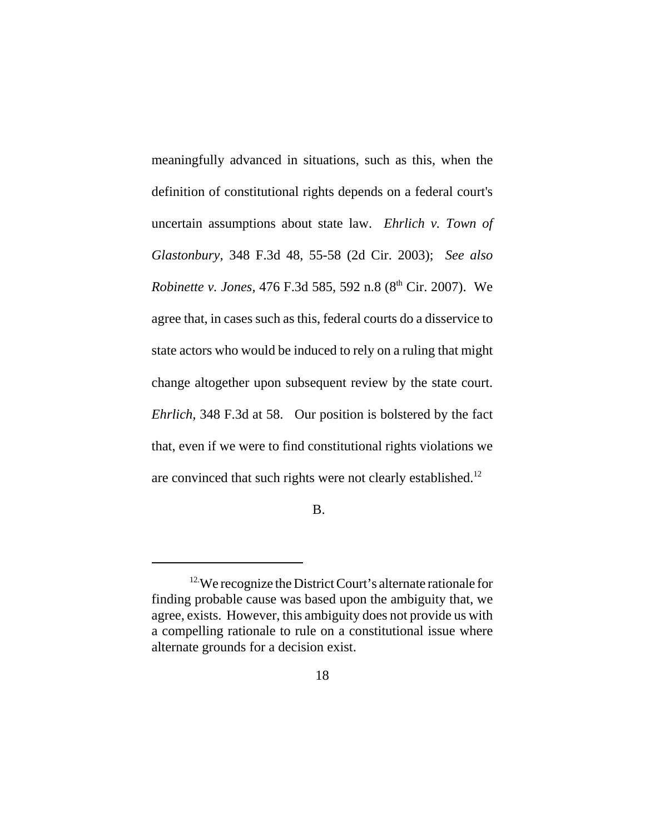meaningfully advanced in situations, such as this, when the definition of constitutional rights depends on a federal court's uncertain assumptions about state law. *Ehrlich v. Town of Glastonbury,* 348 F.3d 48, 55-58 (2d Cir. 2003); *See also Robinette v. Jones, 476 F.3d 585, 592 n.8 (8<sup>th</sup> Cir. 2007).* We agree that, in cases such as this, federal courts do a disservice to state actors who would be induced to rely on a ruling that might change altogether upon subsequent review by the state court. *Ehrlich,* 348 F.3d at 58. Our position is bolstered by the fact that, even if we were to find constitutional rights violations we are convinced that such rights were not clearly established.<sup>12</sup>

B.

<sup>&</sup>lt;sup>12</sup>We recognize the District Court's alternate rationale for finding probable cause was based upon the ambiguity that, we agree, exists. However, this ambiguity does not provide us with a compelling rationale to rule on a constitutional issue where alternate grounds for a decision exist.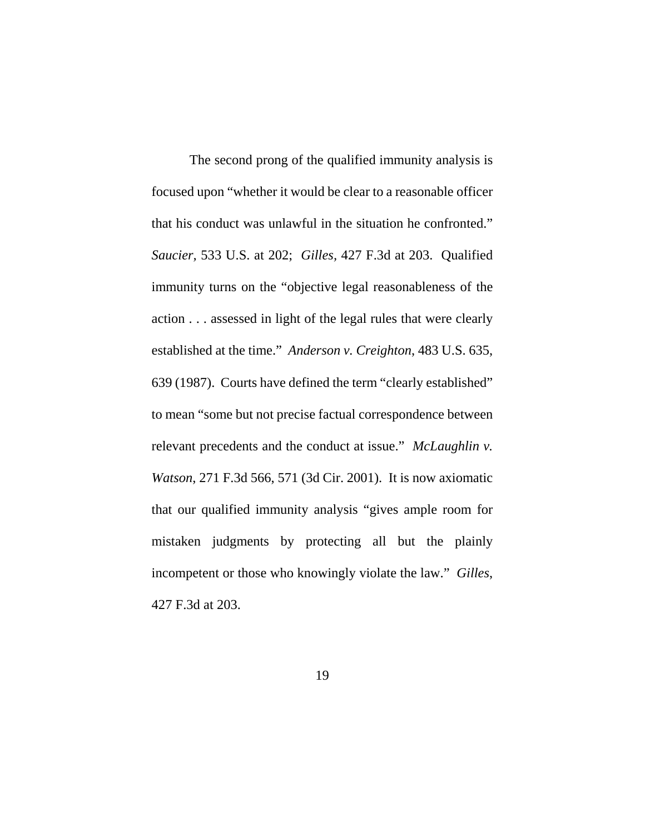The second prong of the qualified immunity analysis is focused upon "whether it would be clear to a reasonable officer that his conduct was unlawful in the situation he confronted." *Saucier,* 533 U.S. at 202; *Gilles,* 427 F.3d at 203. Qualified immunity turns on the "objective legal reasonableness of the action . . . assessed in light of the legal rules that were clearly established at the time." *Anderson v. Creighton*, 483 U.S. 635, 639 (1987). Courts have defined the term "clearly established" to mean "some but not precise factual correspondence between relevant precedents and the conduct at issue." *McLaughlin v. Watson*, 271 F.3d 566, 571 (3d Cir. 2001). It is now axiomatic that our qualified immunity analysis "gives ample room for mistaken judgments by protecting all but the plainly incompetent or those who knowingly violate the law." *Gilles*, 427 F.3d at 203.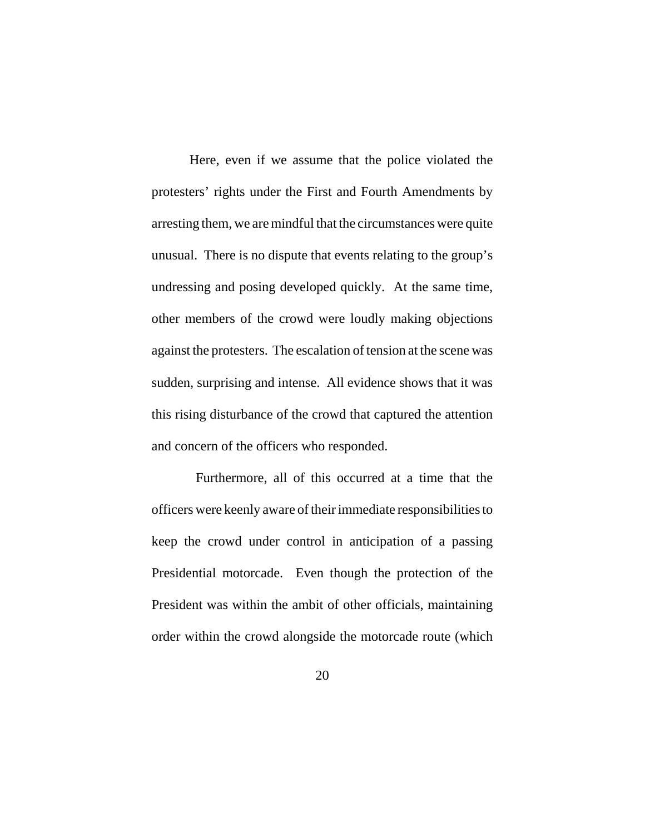Here, even if we assume that the police violated the protesters' rights under the First and Fourth Amendments by arresting them, we are mindful that the circumstances were quite unusual. There is no dispute that events relating to the group's undressing and posing developed quickly. At the same time, other members of the crowd were loudly making objections against the protesters. The escalation of tension at the scene was sudden, surprising and intense. All evidence shows that it was this rising disturbance of the crowd that captured the attention and concern of the officers who responded.

 Furthermore, all of this occurred at a time that the officers were keenly aware of their immediate responsibilities to keep the crowd under control in anticipation of a passing Presidential motorcade. Even though the protection of the President was within the ambit of other officials, maintaining order within the crowd alongside the motorcade route (which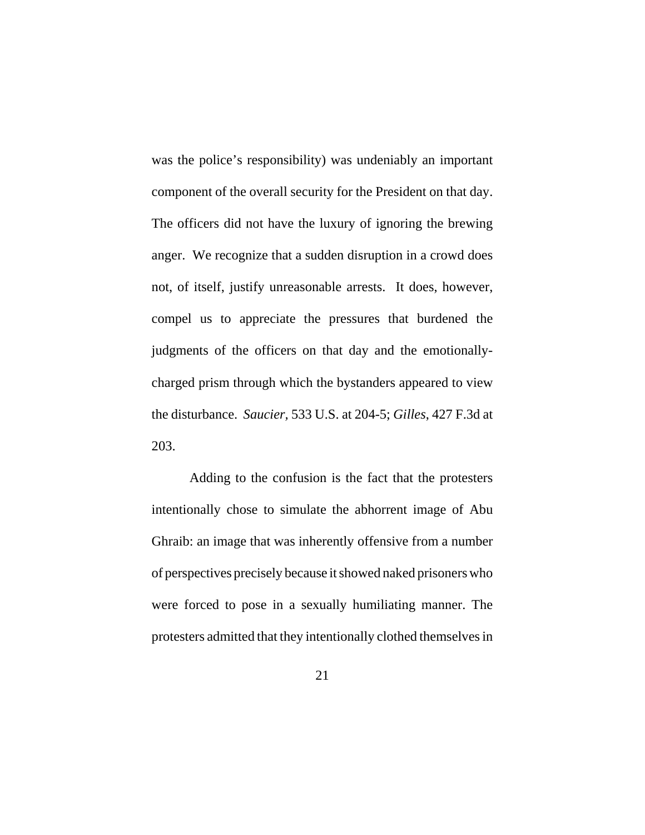was the police's responsibility) was undeniably an important component of the overall security for the President on that day. The officers did not have the luxury of ignoring the brewing anger. We recognize that a sudden disruption in a crowd does not, of itself, justify unreasonable arrests. It does, however, compel us to appreciate the pressures that burdened the judgments of the officers on that day and the emotionallycharged prism through which the bystanders appeared to view the disturbance. *Saucier,* 533 U.S. at 204-5; *Gilles*, 427 F.3d at 203.

Adding to the confusion is the fact that the protesters intentionally chose to simulate the abhorrent image of Abu Ghraib: an image that was inherently offensive from a number of perspectives precisely because it showed naked prisoners who were forced to pose in a sexually humiliating manner. The protesters admitted that they intentionally clothed themselves in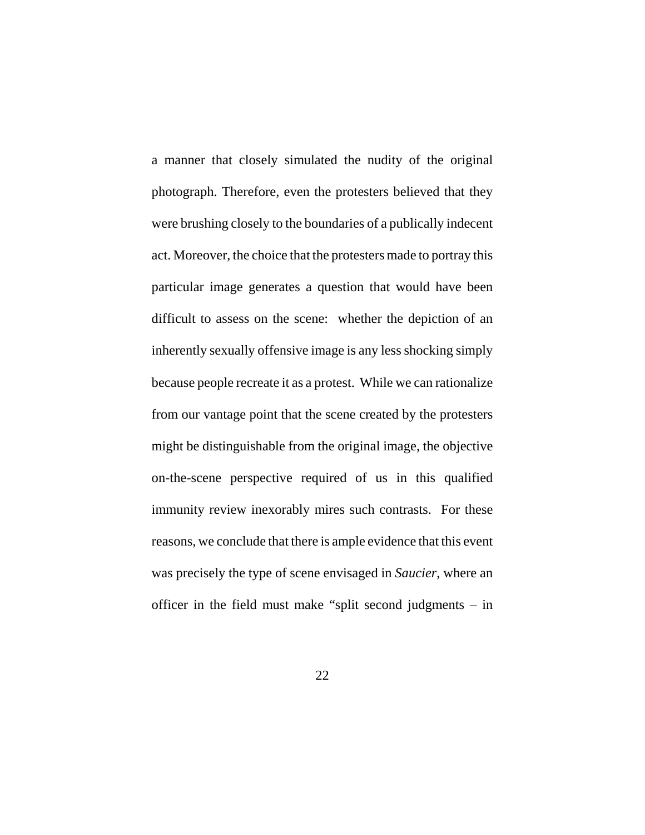a manner that closely simulated the nudity of the original photograph. Therefore, even the protesters believed that they were brushing closely to the boundaries of a publically indecent act. Moreover, the choice that the protesters made to portray this particular image generates a question that would have been difficult to assess on the scene: whether the depiction of an inherently sexually offensive image is any less shocking simply because people recreate it as a protest. While we can rationalize from our vantage point that the scene created by the protesters might be distinguishable from the original image, the objective on-the-scene perspective required of us in this qualified immunity review inexorably mires such contrasts. For these reasons, we conclude that there is ample evidence that this event was precisely the type of scene envisaged in *Saucier*, where an officer in the field must make "split second judgments – in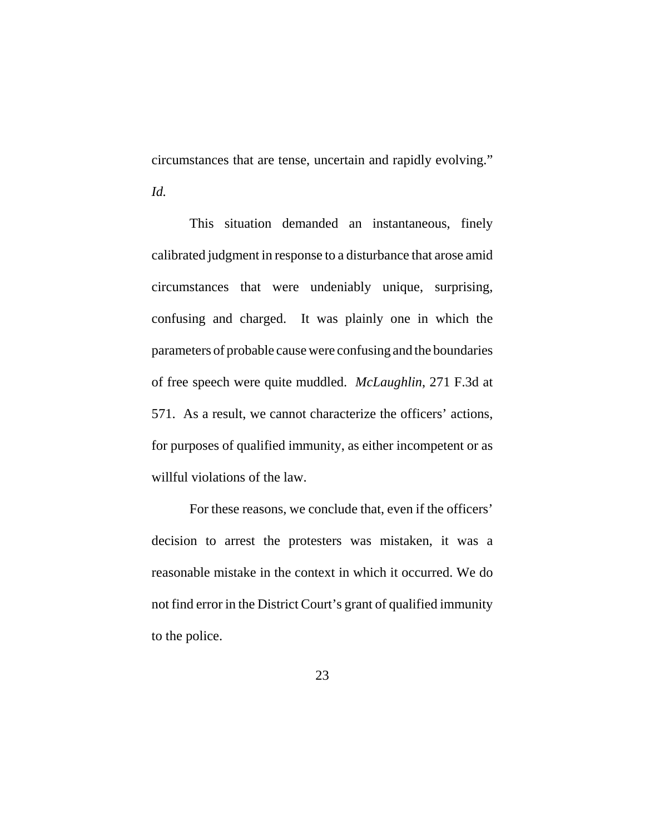circumstances that are tense, uncertain and rapidly evolving." *Id.*

This situation demanded an instantaneous, finely calibrated judgment in response to a disturbance that arose amid circumstances that were undeniably unique, surprising, confusing and charged. It was plainly one in which the parameters of probable cause were confusing and the boundaries of free speech were quite muddled. *McLaughlin*, 271 F.3d at 571. As a result, we cannot characterize the officers' actions, for purposes of qualified immunity, as either incompetent or as willful violations of the law.

For these reasons, we conclude that, even if the officers' decision to arrest the protesters was mistaken, it was a reasonable mistake in the context in which it occurred. We do not find error in the District Court's grant of qualified immunity to the police.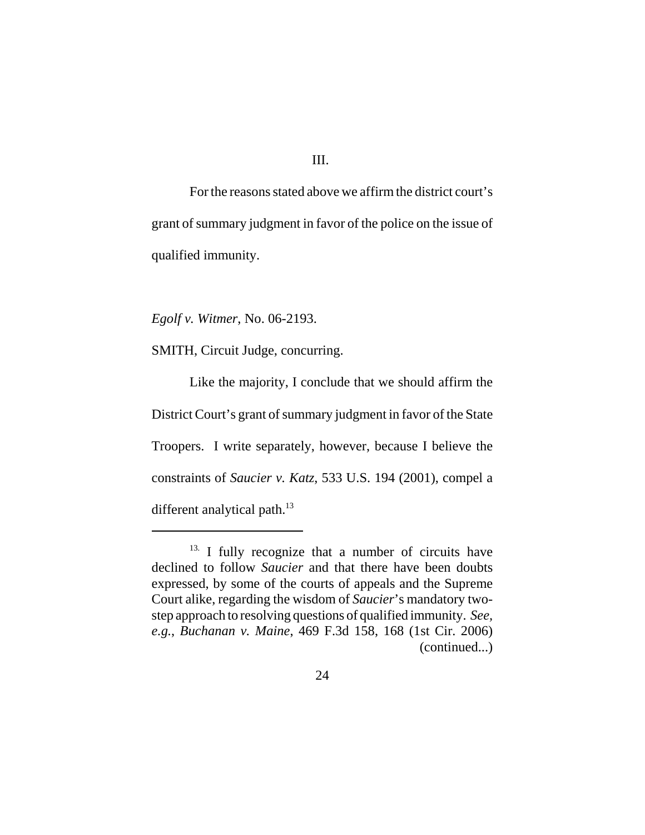III.

For the reasons stated above we affirm the district court's grant of summary judgment in favor of the police on the issue of qualified immunity.

*Egolf v. Witmer*, No. 06-2193.

SMITH, Circuit Judge, concurring.

Like the majority, I conclude that we should affirm the District Court's grant of summary judgment in favor of the State Troopers. I write separately, however, because I believe the constraints of *Saucier v. Katz*, 533 U.S. 194 (2001), compel a different analytical path.<sup>13</sup>

<sup>&</sup>lt;sup>13.</sup> I fully recognize that a number of circuits have declined to follow *Saucier* and that there have been doubts expressed, by some of the courts of appeals and the Supreme Court alike, regarding the wisdom of *Saucier*'s mandatory twostep approach to resolving questions of qualified immunity. *See, e.g.*, *Buchanan v. Maine*, 469 F.3d 158, 168 (1st Cir. 2006) (continued...)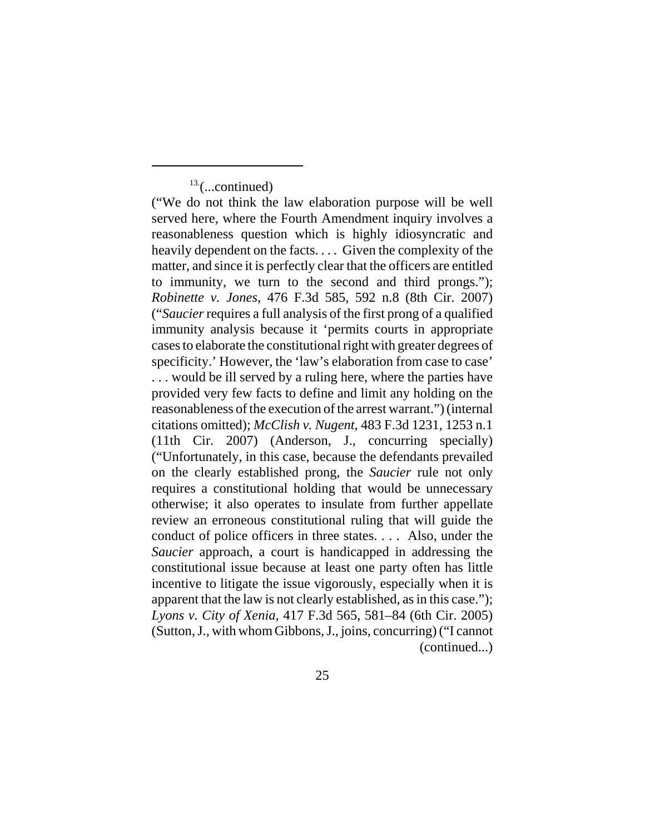$13$ <sup>(...continued)</sup>

("We do not think the law elaboration purpose will be well served here, where the Fourth Amendment inquiry involves a reasonableness question which is highly idiosyncratic and heavily dependent on the facts. . . . Given the complexity of the matter, and since it is perfectly clear that the officers are entitled to immunity, we turn to the second and third prongs."); *Robinette v. Jones*, 476 F.3d 585, 592 n.8 (8th Cir. 2007) ("*Saucier* requires a full analysis of the first prong of a qualified immunity analysis because it 'permits courts in appropriate cases to elaborate the constitutional right with greater degrees of specificity.' However, the 'law's elaboration from case to case' . . . would be ill served by a ruling here, where the parties have provided very few facts to define and limit any holding on the reasonableness of the execution of the arrest warrant.") (internal citations omitted); *McClish v. Nugent*, 483 F.3d 1231, 1253 n.1 (11th Cir. 2007) (Anderson, J., concurring specially) ("Unfortunately, in this case, because the defendants prevailed on the clearly established prong, the *Saucier* rule not only requires a constitutional holding that would be unnecessary otherwise; it also operates to insulate from further appellate review an erroneous constitutional ruling that will guide the conduct of police officers in three states. . . . Also, under the *Saucier* approach, a court is handicapped in addressing the constitutional issue because at least one party often has little incentive to litigate the issue vigorously, especially when it is apparent that the law is not clearly established, as in this case."); *Lyons v. City of Xenia*, 417 F.3d 565, 581–84 (6th Cir. 2005) (Sutton, J., with whom Gibbons, J., joins, concurring) ("I cannot (continued...)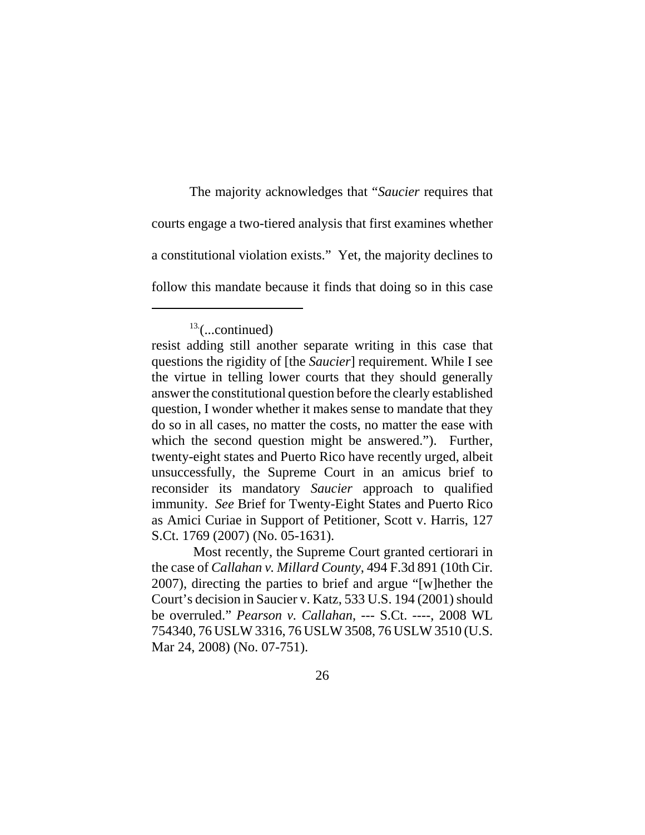The majority acknowledges that "*Saucier* requires that courts engage a two-tiered analysis that first examines whether a constitutional violation exists." Yet, the majority declines to follow this mandate because it finds that doing so in this case

 Most recently, the Supreme Court granted certiorari in the case of *Callahan v. Millard County*, 494 F.3d 891 (10th Cir. 2007), directing the parties to brief and argue "[w]hether the Court's decision in Saucier v. Katz, 533 U.S. 194 (2001) should be overruled." *Pearson v. Callahan*, --- S.Ct. ----, 2008 WL 754340, 76 USLW 3316, 76 USLW 3508, 76 USLW 3510 (U.S. Mar 24, 2008) (No. 07-751).

 $13$ <sup>13.</sup>(...continued)

resist adding still another separate writing in this case that questions the rigidity of [the *Saucier*] requirement. While I see the virtue in telling lower courts that they should generally answer the constitutional question before the clearly established question, I wonder whether it makes sense to mandate that they do so in all cases, no matter the costs, no matter the ease with which the second question might be answered."). Further, twenty-eight states and Puerto Rico have recently urged, albeit unsuccessfully, the Supreme Court in an amicus brief to reconsider its mandatory *Saucier* approach to qualified immunity. *See* Brief for Twenty-Eight States and Puerto Rico as Amici Curiae in Support of Petitioner, Scott v. Harris, 127 S.Ct. 1769 (2007) (No. 05-1631).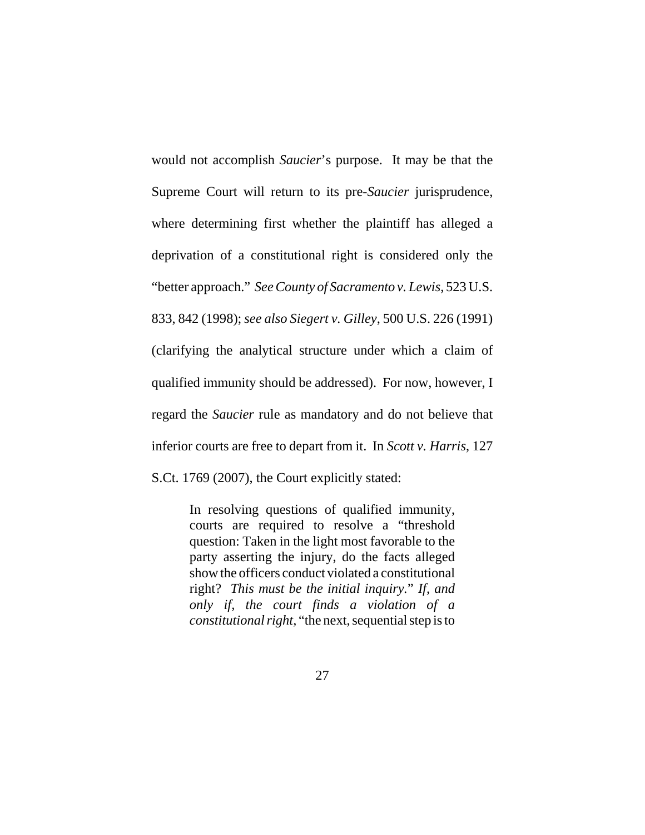would not accomplish *Saucier*'s purpose. It may be that the Supreme Court will return to its pre-*Saucier* jurisprudence, where determining first whether the plaintiff has alleged a deprivation of a constitutional right is considered only the "better approach." *See County of Sacramento v. Lewis*, 523 U.S. 833, 842 (1998); *see also Siegert v. Gilley*, 500 U.S. 226 (1991) (clarifying the analytical structure under which a claim of qualified immunity should be addressed). For now, however, I regard the *Saucier* rule as mandatory and do not believe that inferior courts are free to depart from it. In *Scott v. Harris*, 127 S.Ct. 1769 (2007), the Court explicitly stated:

> In resolving questions of qualified immunity, courts are required to resolve a "threshold question: Taken in the light most favorable to the party asserting the injury, do the facts alleged show the officers conduct violated a constitutional right? *This must be the initial inquiry.*" *If, and only if, the court finds a violation of a constitutional right*, "the next, sequential step is to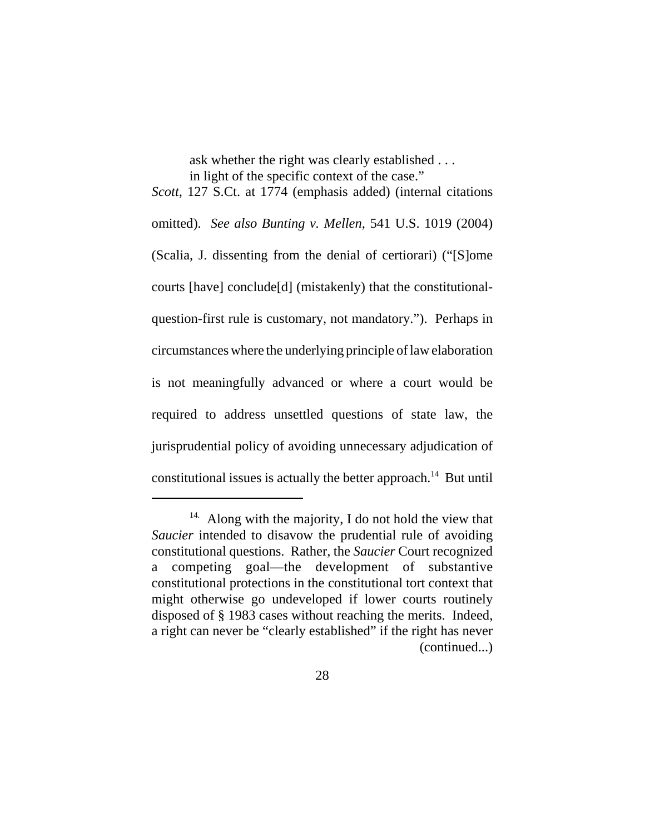ask whether the right was clearly established . . . in light of the specific context of the case."

*Scott*, 127 S.Ct. at 1774 (emphasis added) (internal citations omitted). *See also Bunting v. Mellen*, 541 U.S. 1019 (2004) (Scalia, J. dissenting from the denial of certiorari) ("[S]ome courts [have] conclude[d] (mistakenly) that the constitutionalquestion-first rule is customary, not mandatory."). Perhaps in circumstances where the underlying principle of law elaboration is not meaningfully advanced or where a court would be required to address unsettled questions of state law, the jurisprudential policy of avoiding unnecessary adjudication of constitutional issues is actually the better approach.<sup>14</sup> But until

 $14.$  Along with the majority, I do not hold the view that *Saucier* intended to disavow the prudential rule of avoiding constitutional questions. Rather, the *Saucier* Court recognized a competing goal—the development of substantive constitutional protections in the constitutional tort context that might otherwise go undeveloped if lower courts routinely disposed of § 1983 cases without reaching the merits. Indeed, a right can never be "clearly established" if the right has never (continued...)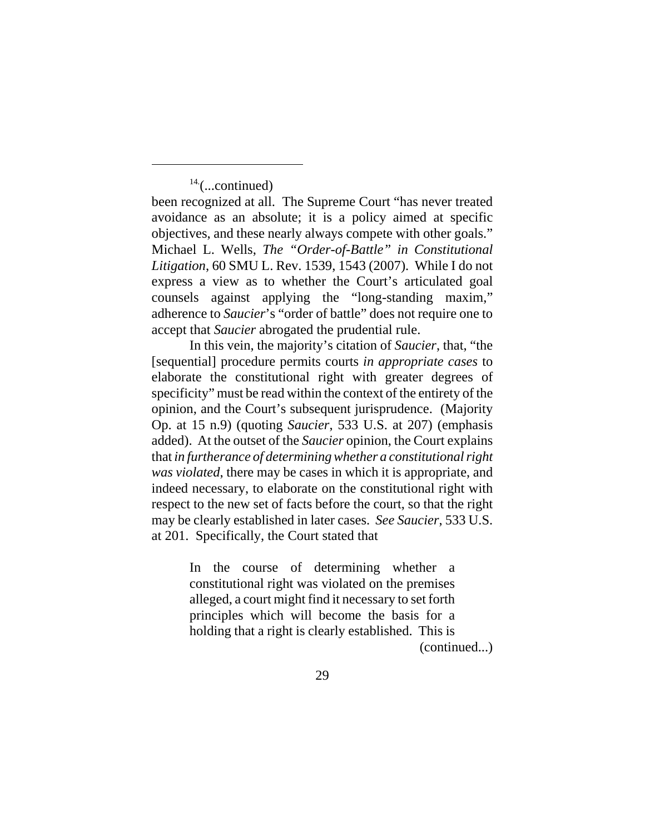$14$ (...continued)

been recognized at all. The Supreme Court "has never treated avoidance as an absolute; it is a policy aimed at specific objectives, and these nearly always compete with other goals." Michael L. Wells, *The "Order-of-Battle" in Constitutional Litigation*, 60 SMU L. Rev. 1539, 1543 (2007). While I do not express a view as to whether the Court's articulated goal counsels against applying the "long-standing maxim," adherence to *Saucier*'s "order of battle" does not require one to accept that *Saucier* abrogated the prudential rule.

In this vein, the majority's citation of *Saucier*, that, "the [sequential] procedure permits courts *in appropriate cases* to elaborate the constitutional right with greater degrees of specificity" must be read within the context of the entirety of the opinion, and the Court's subsequent jurisprudence. (Majority Op. at 15 n.9) (quoting *Saucier*, 533 U.S. at 207) (emphasis added). At the outset of the *Saucier* opinion, the Court explains that *in furtherance of determining whether a constitutional right was violated*, there may be cases in which it is appropriate, and indeed necessary, to elaborate on the constitutional right with respect to the new set of facts before the court, so that the right may be clearly established in later cases. *See Saucier*, 533 U.S. at 201. Specifically, the Court stated that

> In the course of determining whether a constitutional right was violated on the premises alleged, a court might find it necessary to set forth principles which will become the basis for a holding that a right is clearly established. This is (continued...)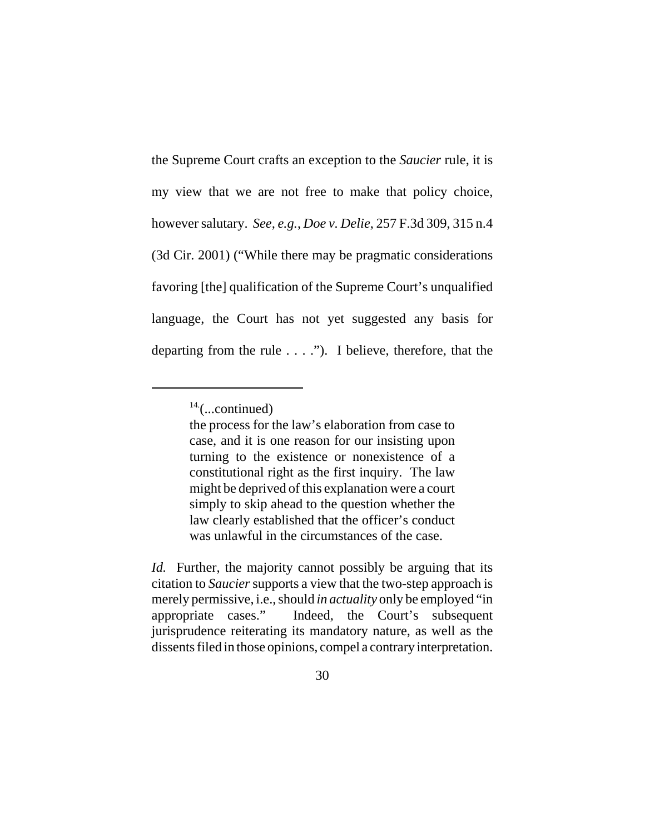the Supreme Court crafts an exception to the *Saucier* rule, it is my view that we are not free to make that policy choice, however salutary. *See, e.g.*, *Doe v. Delie*, 257 F.3d 309, 315 n.4 (3d Cir. 2001) ("While there may be pragmatic considerations favoring [the] qualification of the Supreme Court's unqualified language, the Court has not yet suggested any basis for departing from the rule . . . ."). I believe, therefore, that the

 $14$ <sup>-(...continued)</sup>

the process for the law's elaboration from case to case, and it is one reason for our insisting upon turning to the existence or nonexistence of a constitutional right as the first inquiry. The law might be deprived of this explanation were a court simply to skip ahead to the question whether the law clearly established that the officer's conduct was unlawful in the circumstances of the case.

*Id.* Further, the majority cannot possibly be arguing that its citation to *Saucier* supports a view that the two-step approach is merely permissive, i.e., should *in actuality* only be employed "in appropriate cases." Indeed, the Court's subsequent jurisprudence reiterating its mandatory nature, as well as the dissents filed in those opinions, compel a contrary interpretation.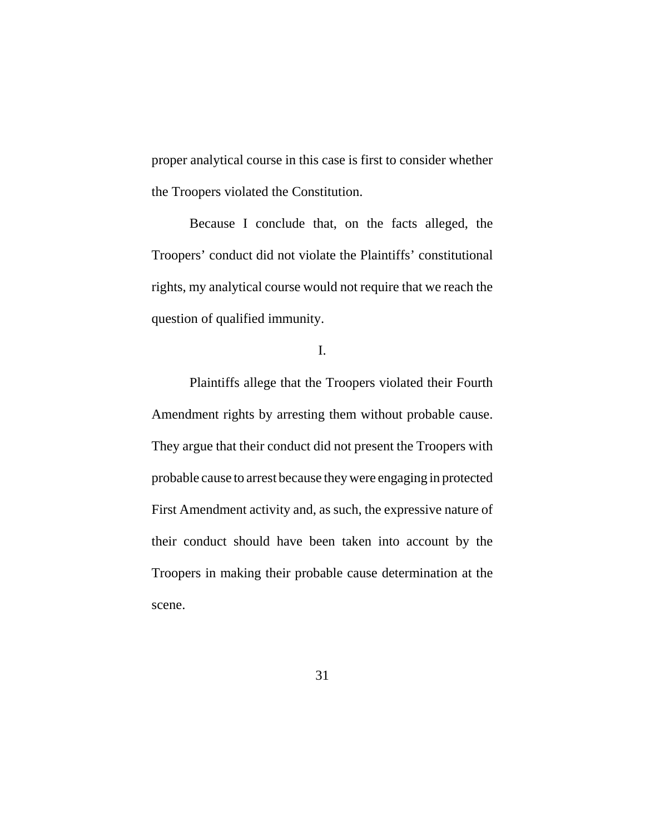proper analytical course in this case is first to consider whether the Troopers violated the Constitution.

Because I conclude that, on the facts alleged, the Troopers' conduct did not violate the Plaintiffs' constitutional rights, my analytical course would not require that we reach the question of qualified immunity.

I.

Plaintiffs allege that the Troopers violated their Fourth Amendment rights by arresting them without probable cause. They argue that their conduct did not present the Troopers with probable cause to arrest because they were engaging in protected First Amendment activity and, as such, the expressive nature of their conduct should have been taken into account by the Troopers in making their probable cause determination at the scene.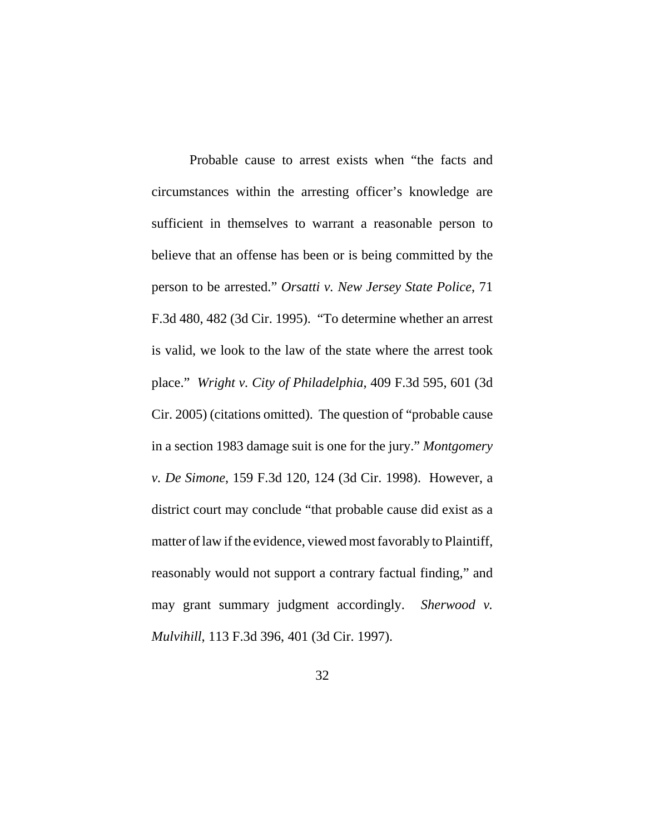Probable cause to arrest exists when "the facts and circumstances within the arresting officer's knowledge are sufficient in themselves to warrant a reasonable person to believe that an offense has been or is being committed by the person to be arrested." *Orsatti v. New Jersey State Police*, 71 F.3d 480, 482 (3d Cir. 1995). "To determine whether an arrest is valid, we look to the law of the state where the arrest took place." *Wright v. City of Philadelphia*, 409 F.3d 595, 601 (3d Cir. 2005) (citations omitted). The question of "probable cause in a section 1983 damage suit is one for the jury." *Montgomery v. De Simone*, 159 F.3d 120, 124 (3d Cir. 1998). However, a district court may conclude "that probable cause did exist as a matter of law if the evidence, viewed most favorably to Plaintiff, reasonably would not support a contrary factual finding," and may grant summary judgment accordingly. *Sherwood v. Mulvihill*, 113 F.3d 396, 401 (3d Cir. 1997).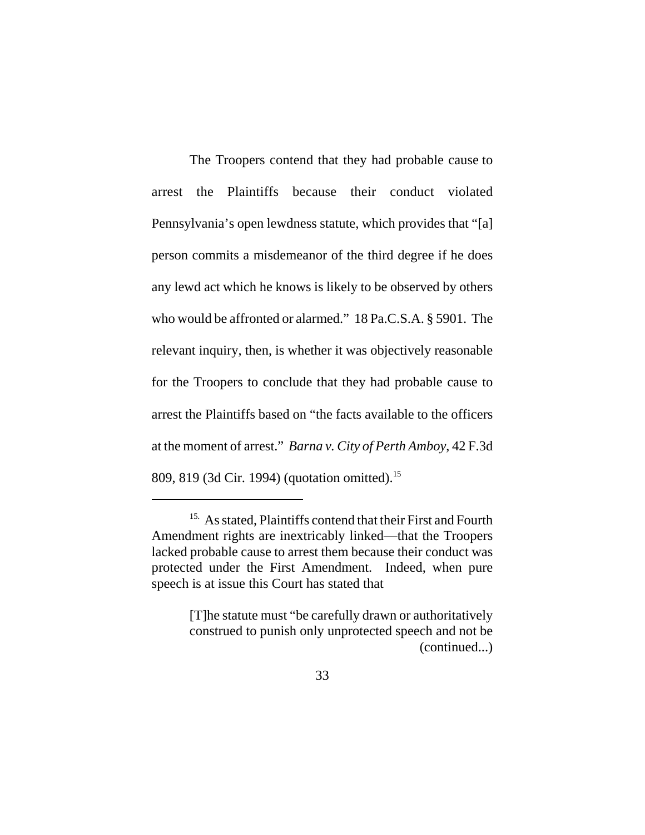The Troopers contend that they had probable cause to arrest the Plaintiffs because their conduct violated Pennsylvania's open lewdness statute, which provides that "[a] person commits a misdemeanor of the third degree if he does any lewd act which he knows is likely to be observed by others who would be affronted or alarmed." 18 Pa.C.S.A. § 5901. The relevant inquiry, then, is whether it was objectively reasonable for the Troopers to conclude that they had probable cause to arrest the Plaintiffs based on "the facts available to the officers at the moment of arrest." *Barna v. City of Perth Amboy*, 42 F.3d 809, 819 (3d Cir. 1994) (quotation omitted).15

<sup>&</sup>lt;sup>15.</sup> As stated, Plaintiffs contend that their First and Fourth Amendment rights are inextricably linked—that the Troopers lacked probable cause to arrest them because their conduct was protected under the First Amendment. Indeed, when pure speech is at issue this Court has stated that

<sup>[</sup>T]he statute must "be carefully drawn or authoritatively construed to punish only unprotected speech and not be (continued...)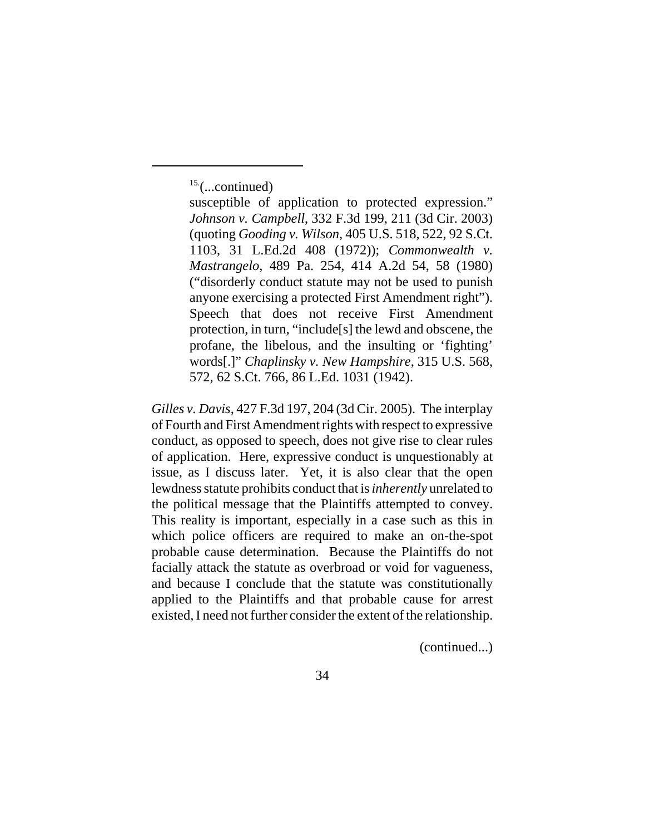15.(...continued)

susceptible of application to protected expression." *Johnson v. Campbell*, 332 F.3d 199, 211 (3d Cir. 2003) (quoting *Gooding v. Wilson*, 405 U.S. 518, 522, 92 S.Ct. 1103, 31 L.Ed.2d 408 (1972)); *Commonwealth v. Mastrangelo*, 489 Pa. 254, 414 A.2d 54, 58 (1980) ("disorderly conduct statute may not be used to punish anyone exercising a protected First Amendment right"). Speech that does not receive First Amendment protection, in turn, "include[s] the lewd and obscene, the profane, the libelous, and the insulting or 'fighting' words[.]" *Chaplinsky v. New Hampshire*, 315 U.S. 568, 572, 62 S.Ct. 766, 86 L.Ed. 1031 (1942).

*Gilles v. Davis*, 427 F.3d 197, 204 (3d Cir. 2005). The interplay of Fourth and First Amendment rights with respect to expressive conduct, as opposed to speech, does not give rise to clear rules of application. Here, expressive conduct is unquestionably at issue, as I discuss later. Yet, it is also clear that the open lewdness statute prohibits conduct that is *inherently* unrelated to the political message that the Plaintiffs attempted to convey. This reality is important, especially in a case such as this in which police officers are required to make an on-the-spot probable cause determination. Because the Plaintiffs do not facially attack the statute as overbroad or void for vagueness, and because I conclude that the statute was constitutionally applied to the Plaintiffs and that probable cause for arrest existed, I need not further consider the extent of the relationship.

(continued...)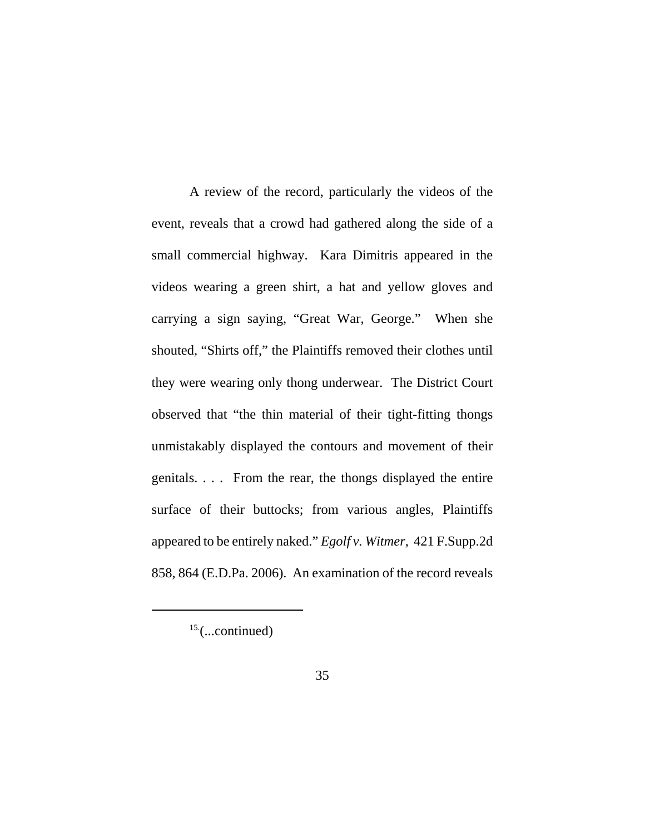A review of the record, particularly the videos of the event, reveals that a crowd had gathered along the side of a small commercial highway. Kara Dimitris appeared in the videos wearing a green shirt, a hat and yellow gloves and carrying a sign saying, "Great War, George." When she shouted, "Shirts off," the Plaintiffs removed their clothes until they were wearing only thong underwear. The District Court observed that "the thin material of their tight-fitting thongs unmistakably displayed the contours and movement of their genitals. . . . From the rear, the thongs displayed the entire surface of their buttocks; from various angles, Plaintiffs appeared to be entirely naked." *Egolf v. Witmer*, 421 F.Supp.2d 858, 864 (E.D.Pa. 2006). An examination of the record reveals

 $15$ <sup>(...continued)</sup>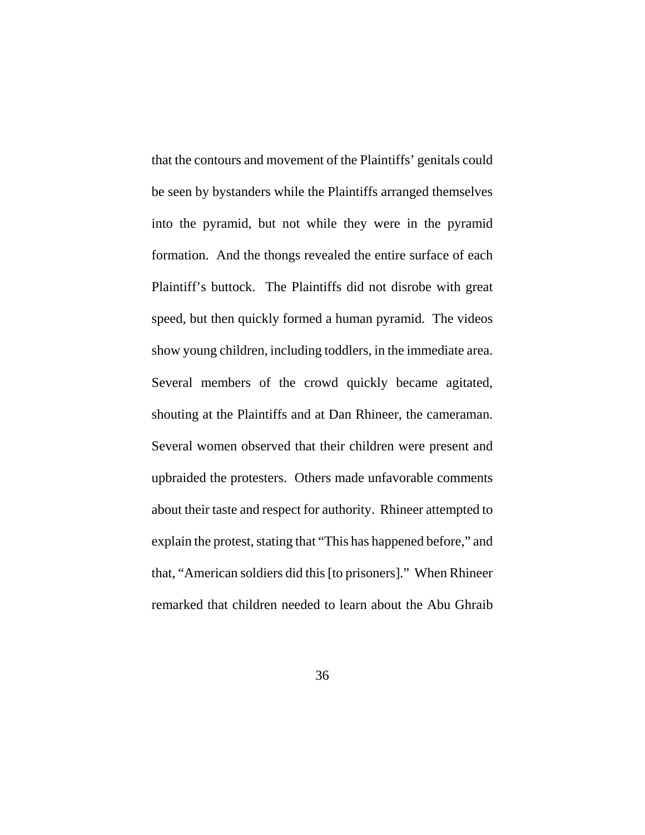that the contours and movement of the Plaintiffs' genitals could be seen by bystanders while the Plaintiffs arranged themselves into the pyramid, but not while they were in the pyramid formation. And the thongs revealed the entire surface of each Plaintiff's buttock. The Plaintiffs did not disrobe with great speed, but then quickly formed a human pyramid. The videos show young children, including toddlers, in the immediate area. Several members of the crowd quickly became agitated, shouting at the Plaintiffs and at Dan Rhineer, the cameraman. Several women observed that their children were present and upbraided the protesters. Others made unfavorable comments about their taste and respect for authority. Rhineer attempted to explain the protest, stating that "This has happened before," and that, "American soldiers did this [to prisoners]." When Rhineer remarked that children needed to learn about the Abu Ghraib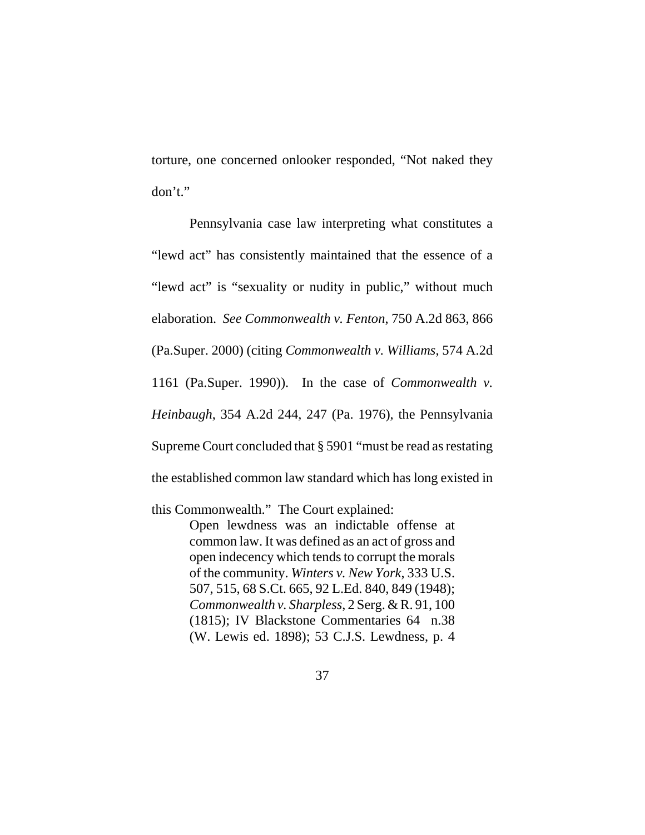torture, one concerned onlooker responded, "Not naked they don't."

Pennsylvania case law interpreting what constitutes a "lewd act" has consistently maintained that the essence of a "lewd act" is "sexuality or nudity in public," without much elaboration. *See Commonwealth v. Fenton*, 750 A.2d 863, 866 (Pa.Super. 2000) (citing *Commonwealth v. Williams*, 574 A.2d 1161 (Pa.Super. 1990)). In the case of *Commonwealth v. Heinbaugh*, 354 A.2d 244, 247 (Pa. 1976), the Pennsylvania Supreme Court concluded that § 5901 "must be read as restating the established common law standard which has long existed in

this Commonwealth." The Court explained:

Open lewdness was an indictable offense at common law. It was defined as an act of gross and open indecency which tends to corrupt the morals of the community. *Winters v. New York*, 333 U.S. 507, 515, 68 S.Ct. 665, 92 L.Ed. 840, 849 (1948); *Commonwealth v. Sharpless*, 2 Serg. & R. 91, 100 (1815); IV Blackstone Commentaries 64 n.38 (W. Lewis ed. 1898); 53 C.J.S. Lewdness, p. 4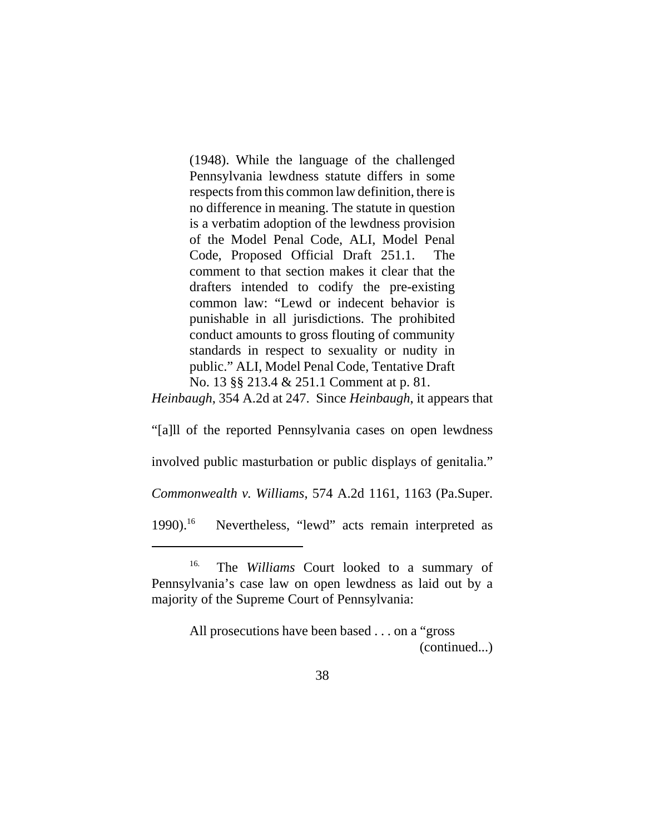(1948). While the language of the challenged Pennsylvania lewdness statute differs in some respects from this common law definition, there is no difference in meaning. The statute in question is a verbatim adoption of the lewdness provision of the Model Penal Code, ALI, Model Penal Code, Proposed Official Draft 251.1. The comment to that section makes it clear that the drafters intended to codify the pre-existing common law: "Lewd or indecent behavior is punishable in all jurisdictions. The prohibited conduct amounts to gross flouting of community standards in respect to sexuality or nudity in public." ALI, Model Penal Code, Tentative Draft No. 13 §§ 213.4 & 251.1 Comment at p. 81.

*Heinbaugh*, 354 A.2d at 247. Since *Heinbaugh*, it appears that

"[a]ll of the reported Pennsylvania cases on open lewdness

involved public masturbation or public displays of genitalia."

*Commonwealth v. Williams*, 574 A.2d 1161, 1163 (Pa.Super.

1990).<sup>16</sup> Nevertheless, "lewd" acts remain interpreted as

All prosecutions have been based . . . on a "gross (continued...)

<sup>16.</sup> The *Williams* Court looked to a summary of Pennsylvania's case law on open lewdness as laid out by a majority of the Supreme Court of Pennsylvania: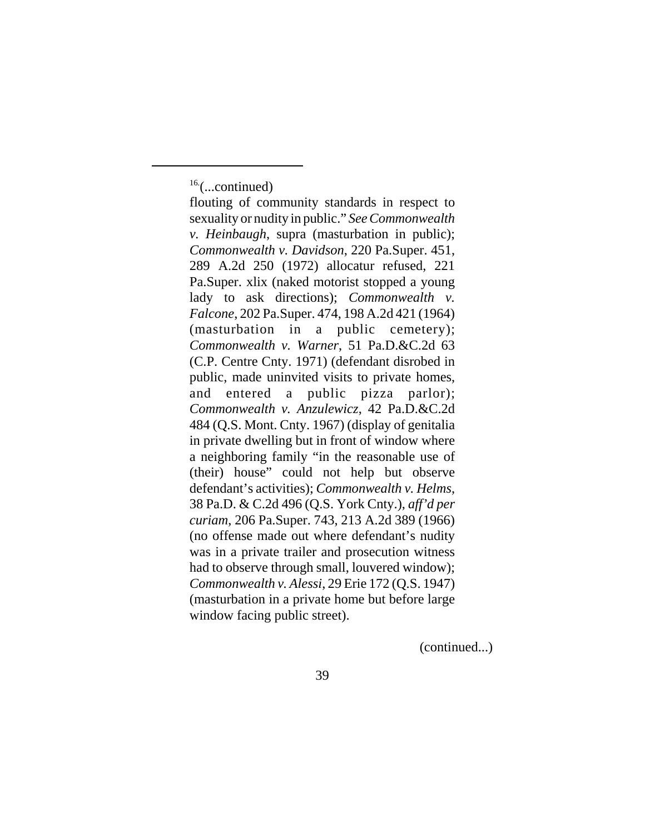(continued...)

 $16$ ....continued)

flouting of community standards in respect to sexuality or nudity in public." *See Commonwealth v. Heinbaugh*, supra (masturbation in public); *Commonwealth v. Davidson*, 220 Pa.Super. 451, 289 A.2d 250 (1972) allocatur refused, 221 Pa.Super. xlix (naked motorist stopped a young lady to ask directions); *Commonwealth v. Falcone*, 202 Pa.Super. 474, 198 A.2d 421 (1964) (masturbation in a public cemetery); *Commonwealth v. Warner*, 51 Pa.D.&C.2d 63 (C.P. Centre Cnty. 1971) (defendant disrobed in public, made uninvited visits to private homes, and entered a public pizza parlor); *Commonwealth v. Anzulewicz*, 42 Pa.D.&C.2d 484 (Q.S. Mont. Cnty. 1967) (display of genitalia in private dwelling but in front of window where a neighboring family "in the reasonable use of (their) house" could not help but observe defendant's activities); *Commonwealth v. Helms*, 38 Pa.D. & C.2d 496 (Q.S. York Cnty.), *aff'd per curiam*, 206 Pa.Super. 743, 213 A.2d 389 (1966) (no offense made out where defendant's nudity was in a private trailer and prosecution witness had to observe through small, louvered window); *Commonwealth v. Alessi*, 29 Erie 172 (Q.S. 1947) (masturbation in a private home but before large window facing public street).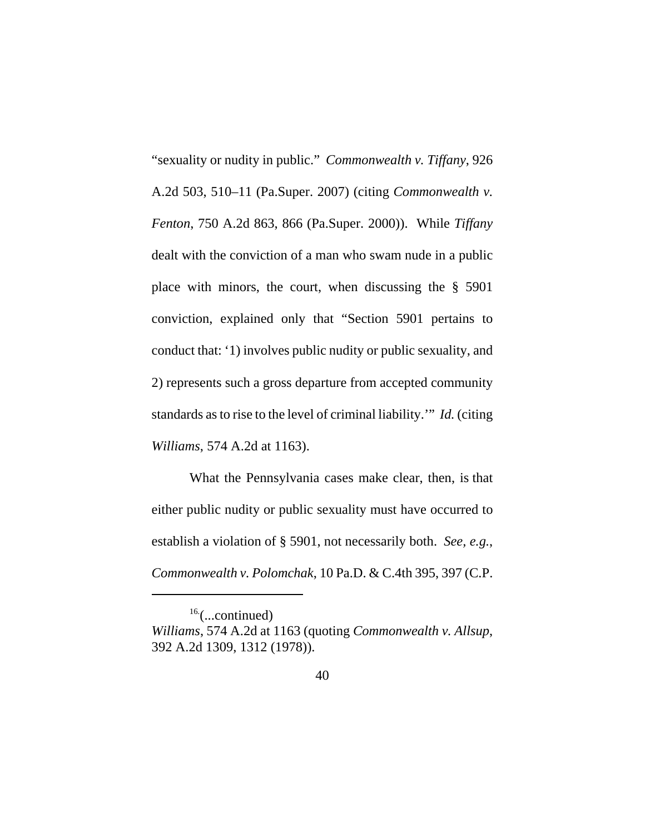"sexuality or nudity in public." *Commonwealth v. Tiffany*, 926 A.2d 503, 510–11 (Pa.Super. 2007) (citing *Commonwealth v. Fenton*, 750 A.2d 863, 866 (Pa.Super. 2000)). While *Tiffany* dealt with the conviction of a man who swam nude in a public place with minors, the court, when discussing the § 5901 conviction, explained only that "Section 5901 pertains to conduct that: '1) involves public nudity or public sexuality, and 2) represents such a gross departure from accepted community standards as to rise to the level of criminal liability.'" *Id.* (citing *Williams*, 574 A.2d at 1163).

 What the Pennsylvania cases make clear, then, is that either public nudity or public sexuality must have occurred to establish a violation of § 5901, not necessarily both. *See, e.g.*, *Commonwealth v. Polomchak*, 10 Pa.D. & C.4th 395, 397 (C.P.

 $16$ ....continued)

*Williams*, 574 A.2d at 1163 (quoting *Commonwealth v. Allsup*, 392 A.2d 1309, 1312 (1978)).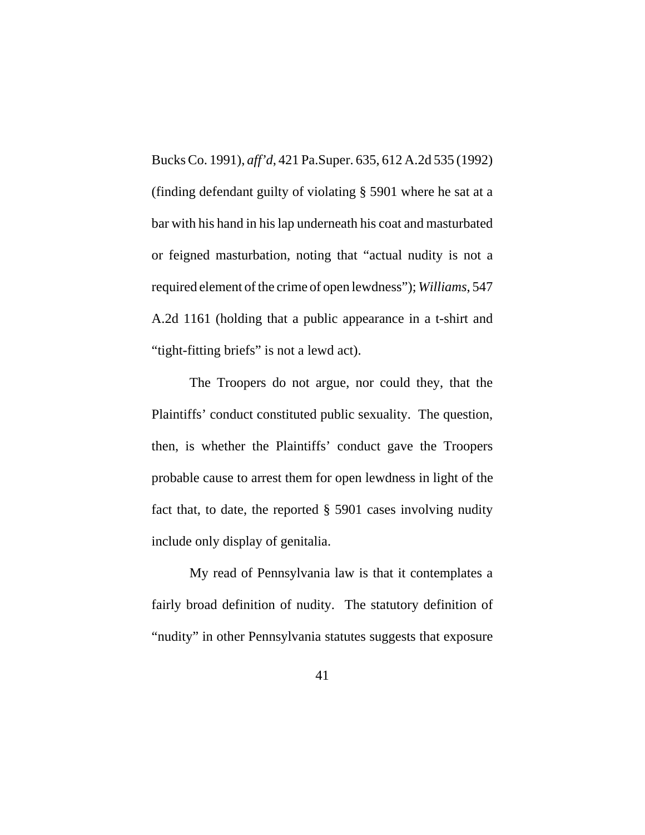Bucks Co. 1991), *aff'd*, 421 Pa.Super. 635, 612 A.2d 535 (1992) (finding defendant guilty of violating § 5901 where he sat at a bar with his hand in his lap underneath his coat and masturbated or feigned masturbation, noting that "actual nudity is not a required element of the crime of open lewdness"); *Williams*, 547 A.2d 1161 (holding that a public appearance in a t-shirt and "tight-fitting briefs" is not a lewd act).

The Troopers do not argue, nor could they, that the Plaintiffs' conduct constituted public sexuality. The question, then, is whether the Plaintiffs' conduct gave the Troopers probable cause to arrest them for open lewdness in light of the fact that, to date, the reported § 5901 cases involving nudity include only display of genitalia.

My read of Pennsylvania law is that it contemplates a fairly broad definition of nudity. The statutory definition of "nudity" in other Pennsylvania statutes suggests that exposure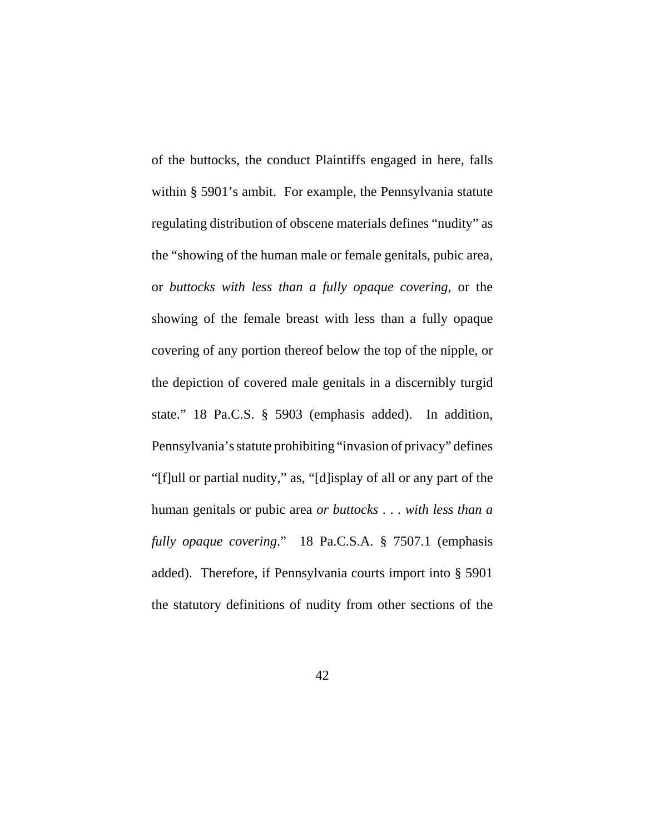of the buttocks, the conduct Plaintiffs engaged in here, falls within § 5901's ambit. For example, the Pennsylvania statute regulating distribution of obscene materials defines "nudity" as the "showing of the human male or female genitals, pubic area, or *buttocks with less than a fully opaque covering*, or the showing of the female breast with less than a fully opaque covering of any portion thereof below the top of the nipple, or the depiction of covered male genitals in a discernibly turgid state." 18 Pa.C.S. § 5903 (emphasis added). In addition, Pennsylvania's statute prohibiting "invasion of privacy" defines "[f]ull or partial nudity," as, "[d]isplay of all or any part of the human genitals or pubic area *or buttocks* . . . *with less than a fully opaque covering*." 18 Pa.C.S.A. § 7507.1 (emphasis added). Therefore, if Pennsylvania courts import into § 5901 the statutory definitions of nudity from other sections of the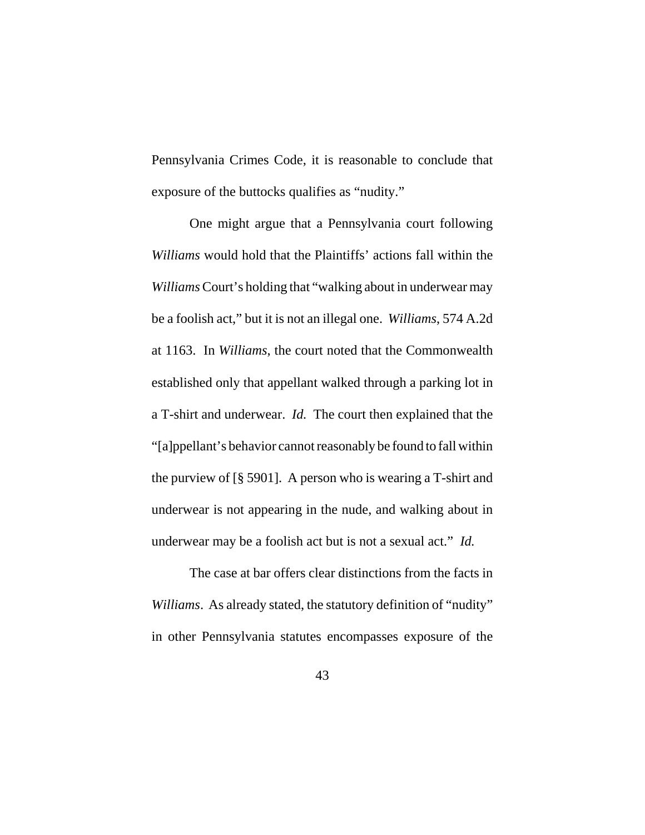Pennsylvania Crimes Code, it is reasonable to conclude that exposure of the buttocks qualifies as "nudity."

One might argue that a Pennsylvania court following *Williams* would hold that the Plaintiffs' actions fall within the *Williams* Court's holding that "walking about in underwear may be a foolish act," but it is not an illegal one. *Williams*, 574 A.2d at 1163. In *Williams*, the court noted that the Commonwealth established only that appellant walked through a parking lot in a T-shirt and underwear. *Id.* The court then explained that the "[a]ppellant's behavior cannot reasonably be found to fall within the purview of [§ 5901]. A person who is wearing a T-shirt and underwear is not appearing in the nude, and walking about in underwear may be a foolish act but is not a sexual act." *Id.*

The case at bar offers clear distinctions from the facts in *Williams*. As already stated, the statutory definition of "nudity" in other Pennsylvania statutes encompasses exposure of the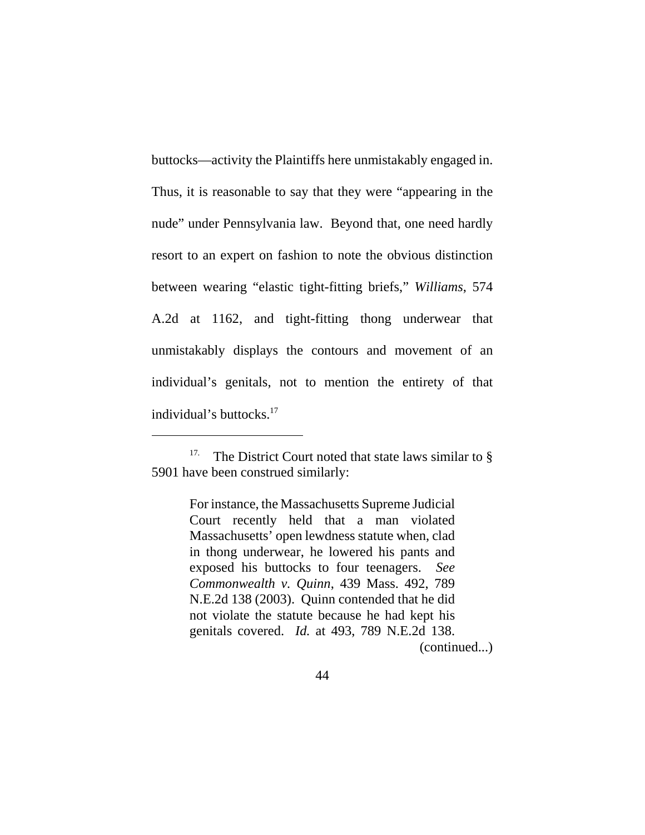buttocks—activity the Plaintiffs here unmistakably engaged in. Thus, it is reasonable to say that they were "appearing in the nude" under Pennsylvania law. Beyond that, one need hardly resort to an expert on fashion to note the obvious distinction between wearing "elastic tight-fitting briefs," *Williams*, 574 A.2d at 1162, and tight-fitting thong underwear that unmistakably displays the contours and movement of an individual's genitals, not to mention the entirety of that individual's buttocks.17

For instance, the Massachusetts Supreme Judicial Court recently held that a man violated Massachusetts' open lewdness statute when, clad in thong underwear, he lowered his pants and exposed his buttocks to four teenagers. *See Commonwealth v. Quinn*, 439 Mass. 492, 789 N.E.2d 138 (2003). Quinn contended that he did not violate the statute because he had kept his genitals covered. *Id.* at 493, 789 N.E.2d 138. (continued...)

<sup>&</sup>lt;sup>17.</sup> The District Court noted that state laws similar to  $\S$ 5901 have been construed similarly: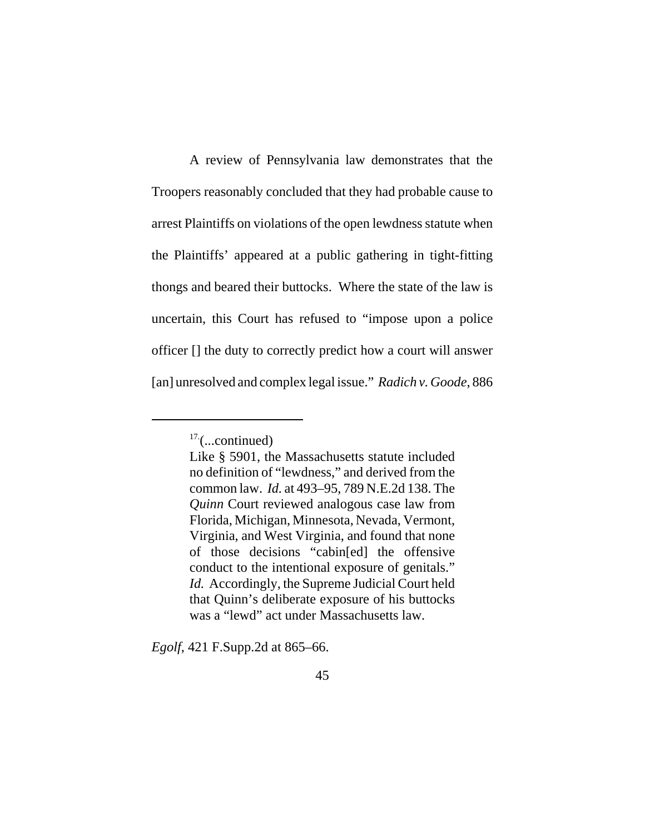A review of Pennsylvania law demonstrates that the Troopers reasonably concluded that they had probable cause to arrest Plaintiffs on violations of the open lewdness statute when the Plaintiffs' appeared at a public gathering in tight-fitting thongs and beared their buttocks. Where the state of the law is uncertain, this Court has refused to "impose upon a police officer [] the duty to correctly predict how a court will answer [an] unresolved and complex legal issue." *Radich v. Goode*, 886

*Egolf*, 421 F.Supp.2d at 865–66.

 $17$ . (...continued)

Like § 5901, the Massachusetts statute included no definition of "lewdness," and derived from the common law. *Id.* at 493–95, 789 N.E.2d 138. The *Quinn* Court reviewed analogous case law from Florida, Michigan, Minnesota, Nevada, Vermont, Virginia, and West Virginia, and found that none of those decisions "cabin[ed] the offensive conduct to the intentional exposure of genitals." *Id.* Accordingly, the Supreme Judicial Court held that Quinn's deliberate exposure of his buttocks was a "lewd" act under Massachusetts law.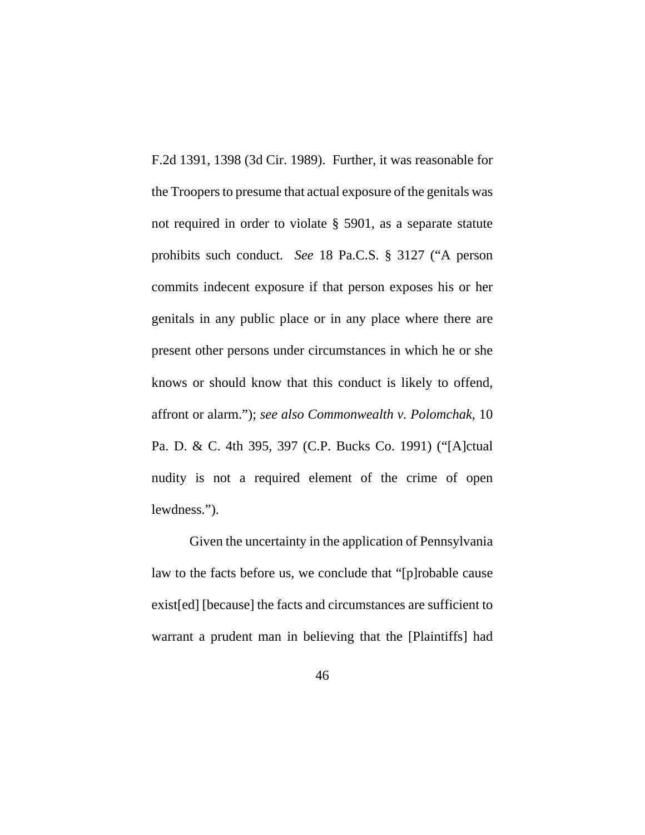F.2d 1391, 1398 (3d Cir. 1989). Further, it was reasonable for the Troopers to presume that actual exposure of the genitals was not required in order to violate § 5901, as a separate statute prohibits such conduct. *See* 18 Pa.C.S. § 3127 ("A person commits indecent exposure if that person exposes his or her genitals in any public place or in any place where there are present other persons under circumstances in which he or she knows or should know that this conduct is likely to offend, affront or alarm."); *see also Commonwealth v. Polomchak*, 10 Pa. D. & C. 4th 395, 397 (C.P. Bucks Co. 1991) ("[A]ctual nudity is not a required element of the crime of open lewdness.").

Given the uncertainty in the application of Pennsylvania law to the facts before us, we conclude that "[p]robable cause exist[ed] [because] the facts and circumstances are sufficient to warrant a prudent man in believing that the [Plaintiffs] had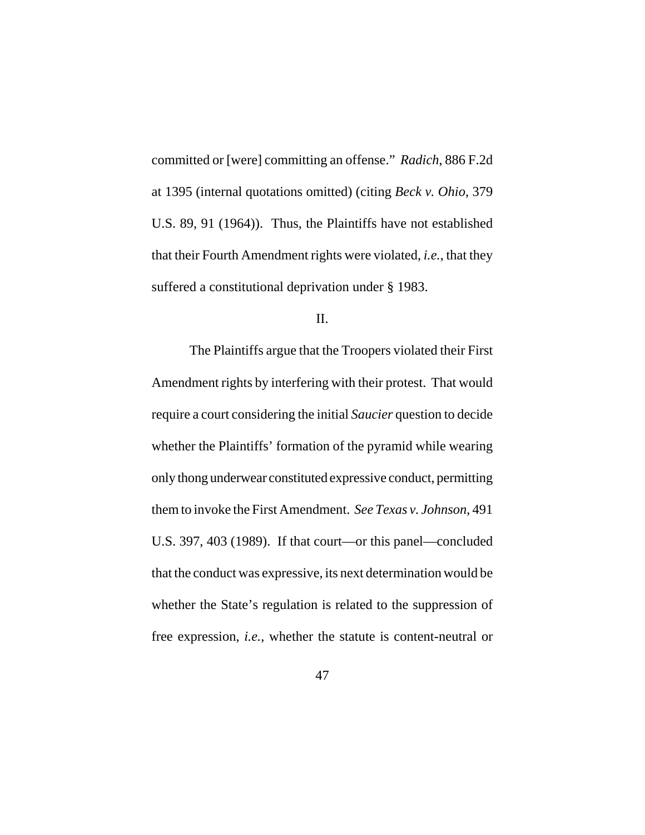committed or [were] committing an offense." *Radich*, 886 F.2d at 1395 (internal quotations omitted) (citing *Beck v. Ohio*, 379 U.S. 89, 91 (1964)). Thus, the Plaintiffs have not established that their Fourth Amendment rights were violated, *i.e.*, that they suffered a constitutional deprivation under § 1983.

II.

The Plaintiffs argue that the Troopers violated their First Amendment rights by interfering with their protest. That would require a court considering the initial *Saucier* question to decide whether the Plaintiffs' formation of the pyramid while wearing only thong underwear constituted expressive conduct, permitting them to invoke the First Amendment. *See Texas v. Johnson*, 491 U.S. 397, 403 (1989). If that court—or this panel—concluded that the conduct was expressive, its next determination would be whether the State's regulation is related to the suppression of free expression, *i.e.*, whether the statute is content-neutral or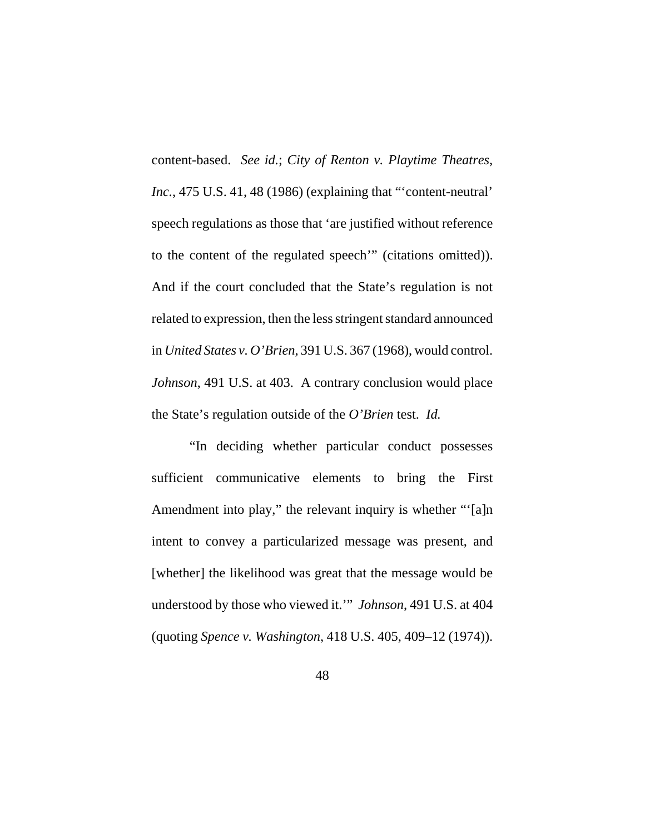content-based. *See id.*; *City of Renton v. Playtime Theatres*, *Inc.*, 475 U.S. 41, 48 (1986) (explaining that "'content-neutral' speech regulations as those that 'are justified without reference to the content of the regulated speech'" (citations omitted)). And if the court concluded that the State's regulation is not related to expression, then the less stringent standard announced in *United States v. O'Brien*, 391 U.S. 367 (1968), would control. *Johnson*, 491 U.S. at 403. A contrary conclusion would place the State's regulation outside of the *O'Brien* test. *Id.* 

"In deciding whether particular conduct possesses sufficient communicative elements to bring the First Amendment into play," the relevant inquiry is whether "'[a]n intent to convey a particularized message was present, and [whether] the likelihood was great that the message would be understood by those who viewed it.'" *Johnson*, 491 U.S. at 404 (quoting *Spence v. Washington*, 418 U.S. 405, 409–12 (1974)).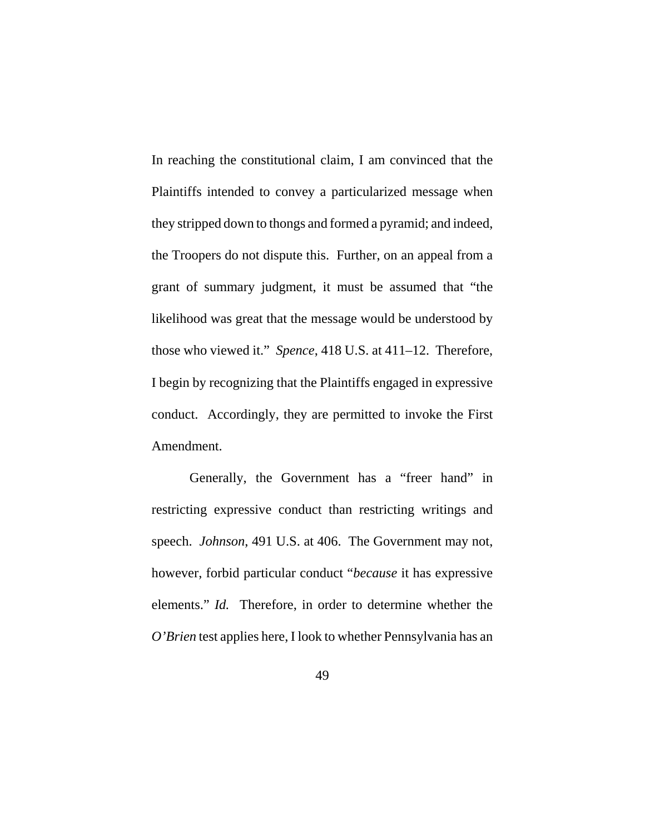In reaching the constitutional claim, I am convinced that the Plaintiffs intended to convey a particularized message when they stripped down to thongs and formed a pyramid; and indeed, the Troopers do not dispute this. Further, on an appeal from a grant of summary judgment, it must be assumed that "the likelihood was great that the message would be understood by those who viewed it." *Spence*, 418 U.S. at 411–12. Therefore, I begin by recognizing that the Plaintiffs engaged in expressive conduct. Accordingly, they are permitted to invoke the First Amendment.

Generally, the Government has a "freer hand" in restricting expressive conduct than restricting writings and speech. *Johnson*, 491 U.S. at 406. The Government may not, however, forbid particular conduct "*because* it has expressive elements." *Id.* Therefore, in order to determine whether the *O'Brien* test applies here, I look to whether Pennsylvania has an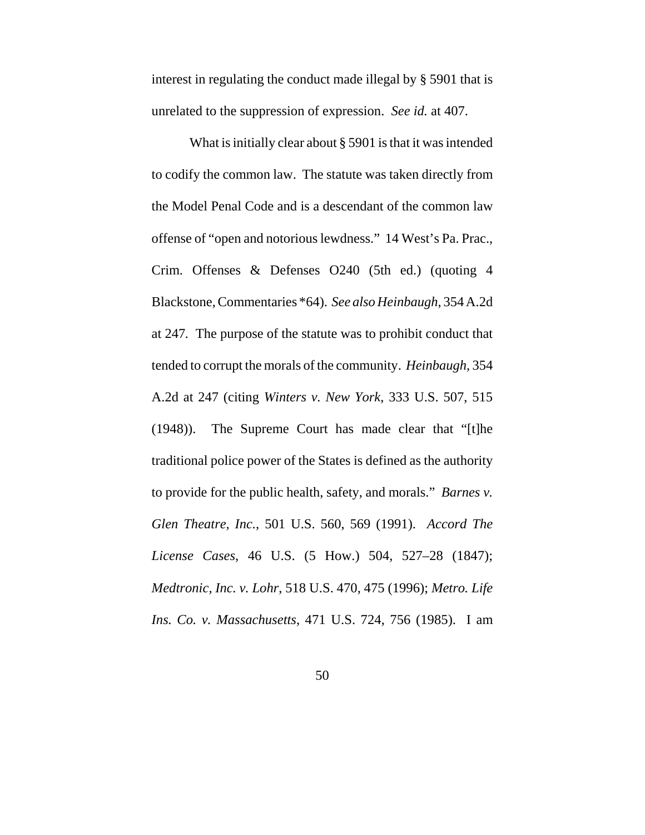interest in regulating the conduct made illegal by § 5901 that is unrelated to the suppression of expression. *See id.* at 407.

What is initially clear about § 5901 is that it was intended to codify the common law. The statute was taken directly from the Model Penal Code and is a descendant of the common law offense of "open and notorious lewdness." 14 West's Pa. Prac., Crim. Offenses & Defenses O240 (5th ed.) (quoting 4 Blackstone, Commentaries \*64). *See also Heinbaugh*, 354 A.2d at 247*.* The purpose of the statute was to prohibit conduct that tended to corrupt the morals of the community. *Heinbaugh*, 354 A.2d at 247 (citing *Winters v. New York*, 333 U.S. 507, 515 (1948)). The Supreme Court has made clear that "[t]he traditional police power of the States is defined as the authority to provide for the public health, safety, and morals." *Barnes v. Glen Theatre, Inc.*, 501 U.S. 560, 569 (1991). *Accord The License Cases*, 46 U.S. (5 How.) 504, 527–28 (1847); *Medtronic, Inc. v. Lohr*, 518 U.S. 470, 475 (1996); *Metro. Life Ins. Co. v. Massachusetts*, 471 U.S. 724, 756 (1985). I am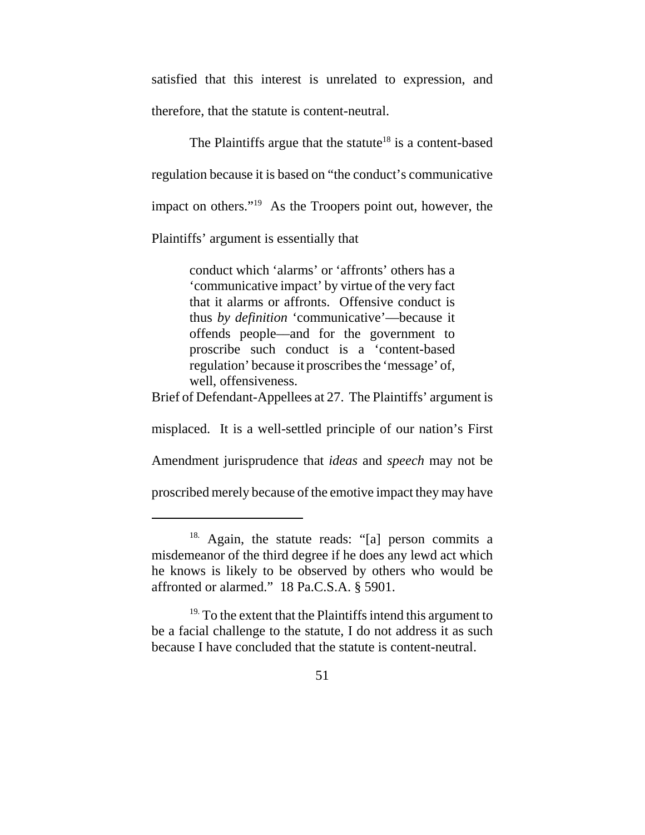satisfied that this interest is unrelated to expression, and therefore, that the statute is content-neutral.

The Plaintiffs argue that the statute<sup>18</sup> is a content-based regulation because it is based on "the conduct's communicative impact on others."19 As the Troopers point out, however, the

Plaintiffs' argument is essentially that

conduct which 'alarms' or 'affronts' others has a 'communicative impact' by virtue of the very fact that it alarms or affronts. Offensive conduct is thus *by definition* 'communicative'—because it offends people––and for the government to proscribe such conduct is a 'content-based regulation' because it proscribes the 'message' of, well, offensiveness.

Brief of Defendant-Appellees at 27. The Plaintiffs' argument is

misplaced. It is a well-settled principle of our nation's First

Amendment jurisprudence that *ideas* and *speech* may not be

proscribed merely because of the emotive impact they may have

<sup>18.</sup> Again, the statute reads: "[a] person commits a misdemeanor of the third degree if he does any lewd act which he knows is likely to be observed by others who would be affronted or alarmed." 18 Pa.C.S.A. § 5901.

 $19.$  To the extent that the Plaintiffs intend this argument to be a facial challenge to the statute, I do not address it as such because I have concluded that the statute is content-neutral.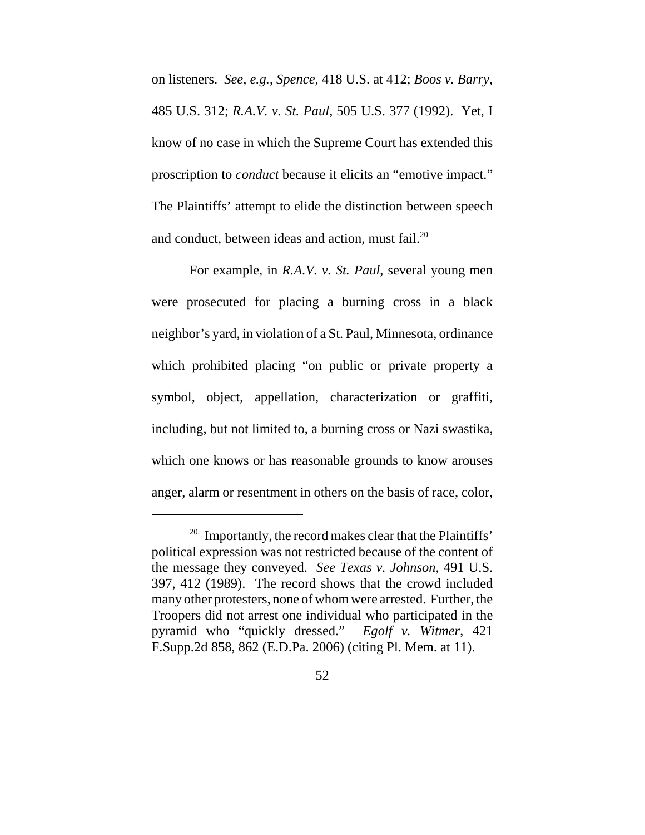on listeners. *See, e.g.*, *Spence*, 418 U.S. at 412; *Boos v. Barry*, 485 U.S. 312; *R.A.V. v. St. Paul*, 505 U.S. 377 (1992). Yet, I know of no case in which the Supreme Court has extended this proscription to *conduct* because it elicits an "emotive impact." The Plaintiffs' attempt to elide the distinction between speech and conduct, between ideas and action, must fail. $^{20}$ 

For example, in *R.A.V. v. St. Paul*, several young men were prosecuted for placing a burning cross in a black neighbor's yard, in violation of a St. Paul, Minnesota, ordinance which prohibited placing "on public or private property a symbol, object, appellation, characterization or graffiti, including, but not limited to, a burning cross or Nazi swastika, which one knows or has reasonable grounds to know arouses anger, alarm or resentment in others on the basis of race, color,

 $20.$  Importantly, the record makes clear that the Plaintiffs' political expression was not restricted because of the content of the message they conveyed. *See Texas v. Johnson*, 491 U.S. 397, 412 (1989). The record shows that the crowd included many other protesters, none of whom were arrested. Further, the Troopers did not arrest one individual who participated in the pyramid who "quickly dressed." *Egolf v. Witmer*, 421 F.Supp.2d 858, 862 (E.D.Pa. 2006) (citing Pl. Mem. at 11).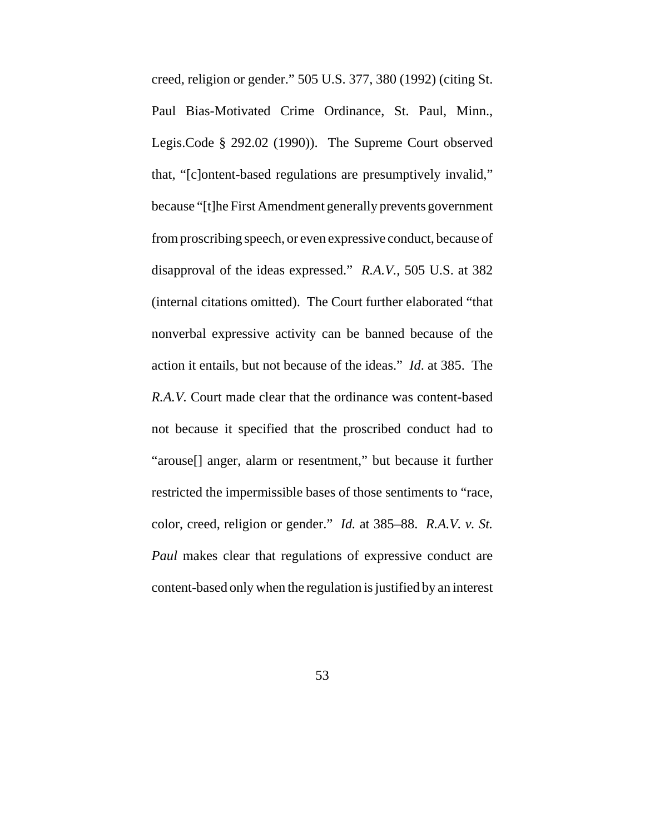creed, religion or gender." 505 U.S. 377, 380 (1992) (citing St. Paul Bias-Motivated Crime Ordinance, St. Paul, Minn., Legis.Code § 292.02 (1990)). The Supreme Court observed that, "[c]ontent-based regulations are presumptively invalid," because "[t]he First Amendment generally prevents government from proscribing speech, or even expressive conduct, because of disapproval of the ideas expressed." *R.A.V.*, 505 U.S. at 382 (internal citations omitted). The Court further elaborated "that nonverbal expressive activity can be banned because of the action it entails, but not because of the ideas." *Id*. at 385. The *R.A.V.* Court made clear that the ordinance was content-based not because it specified that the proscribed conduct had to "arouse[] anger, alarm or resentment," but because it further restricted the impermissible bases of those sentiments to "race, color, creed, religion or gender." *Id.* at 385–88. *R.A.V. v. St. Paul* makes clear that regulations of expressive conduct are content-based only when the regulation is justified by an interest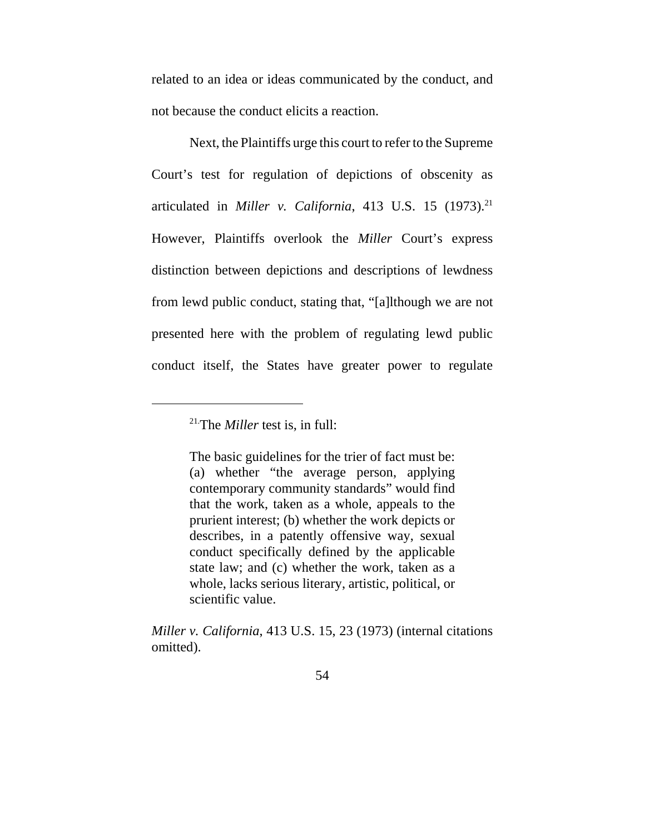related to an idea or ideas communicated by the conduct, and not because the conduct elicits a reaction.

Next, the Plaintiffs urge this court to refer to the Supreme Court's test for regulation of depictions of obscenity as articulated in *Miller v. California*, 413 U.S. 15 (1973).<sup>21</sup> However, Plaintiffs overlook the *Miller* Court's express distinction between depictions and descriptions of lewdness from lewd public conduct, stating that, "[a]lthough we are not presented here with the problem of regulating lewd public conduct itself, the States have greater power to regulate

21.The *Miller* test is, in full:

The basic guidelines for the trier of fact must be: (a) whether "the average person, applying contemporary community standards" would find that the work, taken as a whole, appeals to the prurient interest; (b) whether the work depicts or describes, in a patently offensive way, sexual conduct specifically defined by the applicable state law; and (c) whether the work, taken as a whole, lacks serious literary, artistic, political, or scientific value.

*Miller v. California*, 413 U.S. 15, 23 (1973) (internal citations omitted).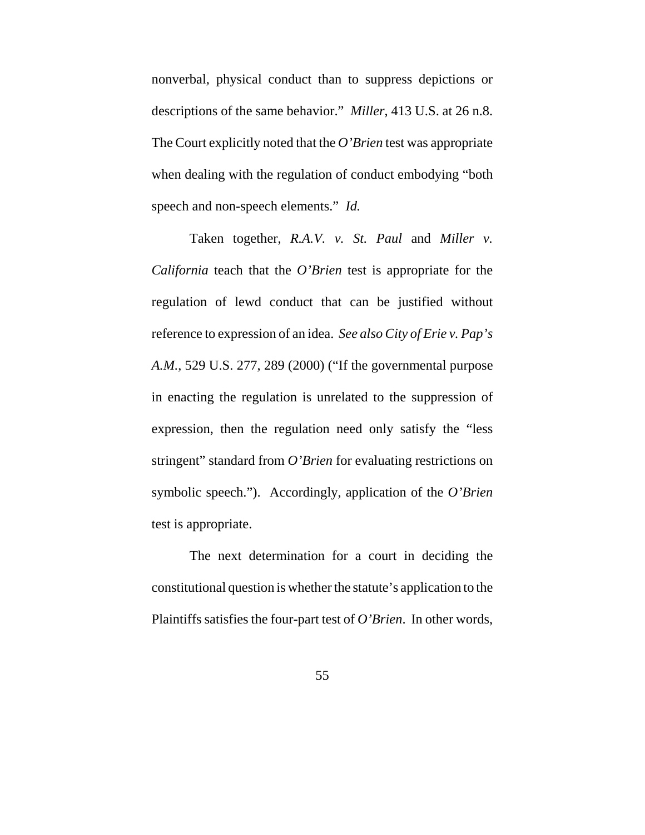nonverbal, physical conduct than to suppress depictions or descriptions of the same behavior." *Miller*, 413 U.S. at 26 n.8. The Court explicitly noted that the *O'Brien* test was appropriate when dealing with the regulation of conduct embodying "both speech and non-speech elements." *Id.* 

Taken together, *R.A.V. v. St. Paul* and *Miller v. California* teach that the *O'Brien* test is appropriate for the regulation of lewd conduct that can be justified without reference to expression of an idea. *See also City of Erie v. Pap's A.M.*, 529 U.S. 277, 289 (2000) ("If the governmental purpose in enacting the regulation is unrelated to the suppression of expression, then the regulation need only satisfy the "less stringent" standard from *O'Brien* for evaluating restrictions on symbolic speech."). Accordingly, application of the *O'Brien* test is appropriate.

The next determination for a court in deciding the constitutional question is whether the statute's application to the Plaintiffs satisfies the four-part test of *O'Brien*. In other words,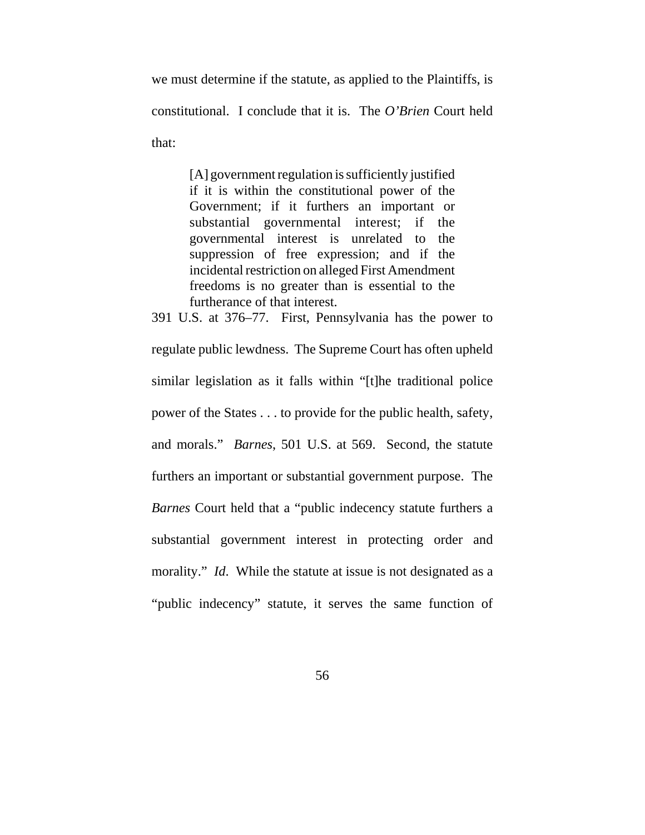we must determine if the statute, as applied to the Plaintiffs, is constitutional. I conclude that it is. The *O'Brien* Court held that:

> [A] government regulation is sufficiently justified if it is within the constitutional power of the Government; if it furthers an important or substantial governmental interest; if the governmental interest is unrelated to the suppression of free expression; and if the incidental restriction on alleged First Amendment freedoms is no greater than is essential to the furtherance of that interest.

391 U.S. at 376–77. First, Pennsylvania has the power to

regulate public lewdness. The Supreme Court has often upheld similar legislation as it falls within "[t]he traditional police power of the States . . . to provide for the public health, safety, and morals." *Barnes*, 501 U.S. at 569. Second, the statute furthers an important or substantial government purpose. The *Barnes* Court held that a "public indecency statute furthers a substantial government interest in protecting order and morality." *Id*. While the statute at issue is not designated as a "public indecency" statute, it serves the same function of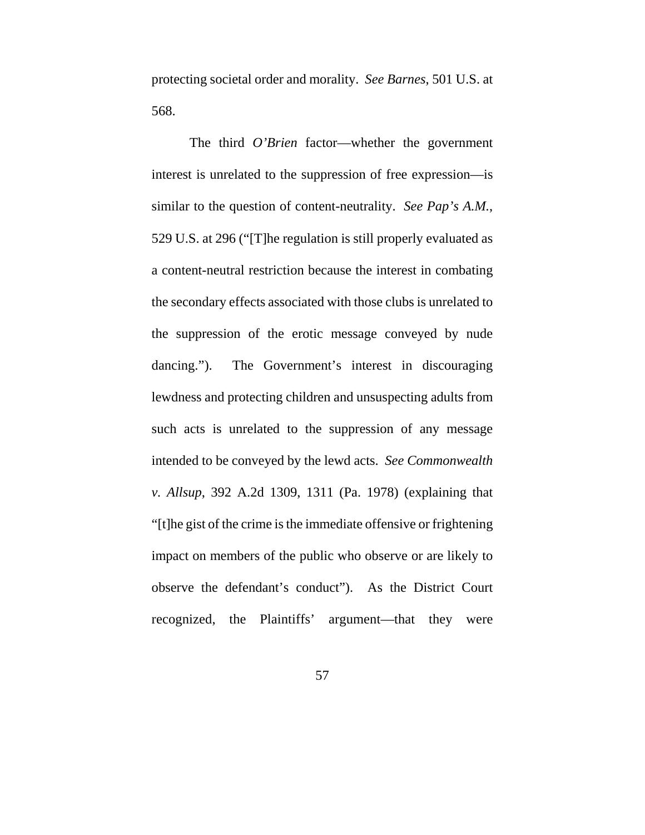protecting societal order and morality. *See Barnes*, 501 U.S. at 568.

The third *O'Brien* factor—whether the government interest is unrelated to the suppression of free expression—is similar to the question of content-neutrality. *See Pap's A.M.*, 529 U.S. at 296 ("[T]he regulation is still properly evaluated as a content-neutral restriction because the interest in combating the secondary effects associated with those clubs is unrelated to the suppression of the erotic message conveyed by nude dancing."). The Government's interest in discouraging lewdness and protecting children and unsuspecting adults from such acts is unrelated to the suppression of any message intended to be conveyed by the lewd acts. *See Commonwealth v. Allsup*, 392 A.2d 1309, 1311 (Pa. 1978) (explaining that "[t]he gist of the crime is the immediate offensive or frightening impact on members of the public who observe or are likely to observe the defendant's conduct"). As the District Court recognized, the Plaintiffs' argument—that they were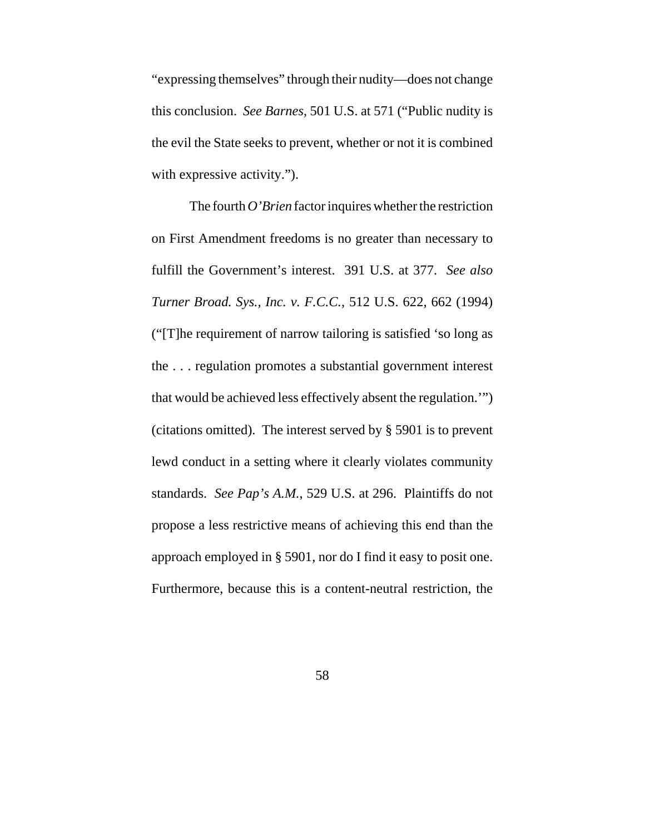"expressing themselves" through their nudity—does not change this conclusion. *See Barnes*, 501 U.S. at 571 ("Public nudity is the evil the State seeks to prevent, whether or not it is combined with expressive activity.").

The fourth *O'Brien* factor inquires whether the restriction on First Amendment freedoms is no greater than necessary to fulfill the Government's interest. 391 U.S. at 377. *See also Turner Broad. Sys., Inc. v. F.C.C.*, 512 U.S. 622, 662 (1994) ("[T]he requirement of narrow tailoring is satisfied 'so long as the . . . regulation promotes a substantial government interest that would be achieved less effectively absent the regulation.'") (citations omitted). The interest served by § 5901 is to prevent lewd conduct in a setting where it clearly violates community standards. *See Pap's A.M.*, 529 U.S. at 296. Plaintiffs do not propose a less restrictive means of achieving this end than the approach employed in § 5901, nor do I find it easy to posit one. Furthermore, because this is a content-neutral restriction, the